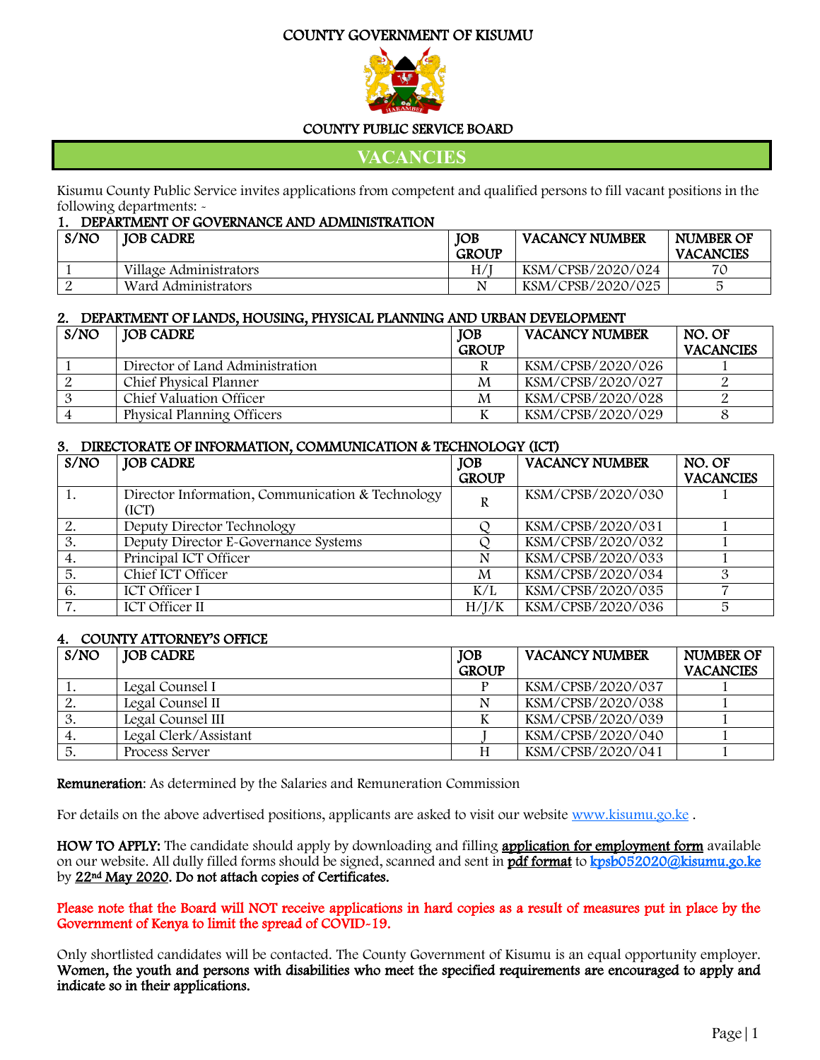#### COUNTY GOVERNMENT OF KISUMU



#### COUNTY PUBLIC SERVICE BOARD

**VACANCIES**

Kisumu County Public Service invites applications from competent and qualified persons to fill vacant positions in the following departments: -

| DEPARTMENT OF GOVERNANCE AND ADMINISTRATION |                        |              |                       |                  |
|---------------------------------------------|------------------------|--------------|-----------------------|------------------|
| S/NO                                        | <b>JOB CADRE</b>       | <b>IOB</b>   | <b>VACANCY NUMBER</b> | NUMBER OF        |
|                                             |                        | <b>GROUP</b> |                       | <b>VACANCIES</b> |
|                                             | Village Administrators | H/           | KSM/CPSB/2020/024     | 70               |
|                                             | Ward Administrators    | N            | KSM/CPSB/2020/025     |                  |

#### 2. DEPARTMENT OF LANDS, HOUSING, PHYSICAL PLANNING AND URBAN DEVELOPMENT

| S/NO | JOB CADRE                       | <b>JOB</b>   | <b>VACANCY NUMBER</b> | NO. OF           |
|------|---------------------------------|--------------|-----------------------|------------------|
|      |                                 | <b>GROUP</b> |                       | <b>VACANCIES</b> |
|      | Director of Land Administration |              | KSM/CPSB/2020/026     |                  |
|      | Chief Physical Planner          | M            | KSM/CPSB/2020/027     |                  |
|      | Chief Valuation Officer         | M            | KSM/CPSB/2020/028     |                  |
|      | Physical Planning Officers      |              | KSM/CPSB/2020/029     |                  |

#### 3. DIRECTORATE OF INFORMATION, COMMUNICATION & TECHNOLOGY (ICT)

| S/NO | <b>JOB CADRE</b>                                          | <b>JOB</b><br><b>GROUP</b> | <b>VACANCY NUMBER</b> | NO. OF<br><b>VACANCIES</b> |
|------|-----------------------------------------------------------|----------------------------|-----------------------|----------------------------|
|      | Director Information, Communication & Technology<br>(ICT) | R                          | KSM/CPSB/2020/030     |                            |
| 2.   | Deputy Director Technology                                |                            | KSM/CPSB/2020/031     |                            |
| 3.   | Deputy Director E-Governance Systems                      |                            | KSM/CPSB/2020/032     |                            |
| 4.   | Principal ICT Officer                                     | N                          | KSM/CPSB/2020/033     |                            |
| 5.   | Chief ICT Officer                                         | M                          | KSM/CPSB/2020/034     |                            |
| 6.   | <b>ICT</b> Officer I                                      | K/L                        | KSM/CPSB/2020/035     |                            |
| 7.   | <b>ICT Officer II</b>                                     | H/I/K                      | KSM/CPSB/2020/036     | 5                          |

#### 4. COUNTY ATTORNEY'S OFFICE

| S/NO | <b>JOB CADRE</b>      | <b>JOB</b>   | <b>VACANCY NUMBER</b> | NUMBER OF        |
|------|-----------------------|--------------|-----------------------|------------------|
|      |                       | <b>GROUP</b> |                       | <b>VACANCIES</b> |
|      | Legal Counsel I       |              | KSM/CPSB/2020/037     |                  |
| ∠.   | Legal Counsel II      |              | KSM/CPSB/2020/038     |                  |
| υ.   | Legal Counsel III     |              | KSM/CPSB/2020/039     |                  |
| 4.   | Legal Clerk/Assistant |              | KSM/CPSB/2020/040     |                  |
| 5.   | Process Server        |              | KSM/CPSB/2020/041     |                  |

Remuneration: As determined by the Salaries and Remuneration Commission

For details on the above advertised positions, applicants are asked to visit our website [www.kisumu.go.ke](http://www.kisumu.go.ke/).

HOW TO APPLY: The candidate should apply by downloading and filling application for employment form available on our website. All dully filled forms should be signed, scanned and sent in pdf format to kpsb052020@kisumu.go.ke by 22<sup>nd</sup> May 2020. Do not attach copies of Certificates.

Please note that the Board will NOT receive applications in hard copies as a result of measures put in place by the Government of Kenya to limit the spread of COVID-19.

Only shortlisted candidates will be contacted. The County Government of Kisumu is an equal opportunity employer. Women, the youth and persons with disabilities who meet the specified requirements are encouraged to apply and indicate so in their applications.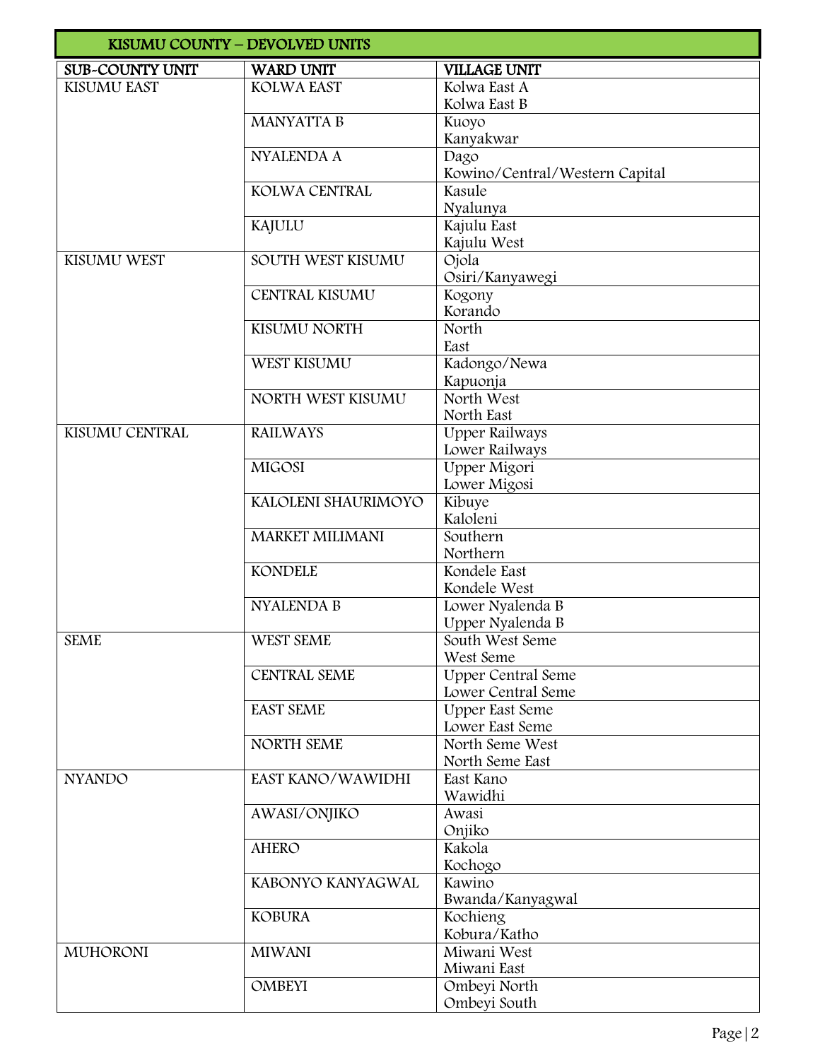|                        | KISUMU COUNTY - DEVOLVED UNITS |                                          |
|------------------------|--------------------------------|------------------------------------------|
| <b>SUB-COUNTY UNIT</b> | <b>WARD UNIT</b>               | <b>VILLAGE UNIT</b>                      |
| KISUMU EAST            | <b>KOLWA EAST</b>              | Kolwa East A                             |
|                        |                                | Kolwa East B                             |
|                        | <b>MANYATTA B</b>              | Kuoyo                                    |
|                        |                                | Kanyakwar                                |
|                        | <b>NYALENDA A</b>              | Dago                                     |
|                        | KOLWA CENTRAL                  | Kowino/Central/Western Capital<br>Kasule |
|                        |                                | Nyalunya                                 |
|                        | KAJULU                         | Kajulu East                              |
|                        |                                | Kajulu West                              |
| KISUMU WEST            | SOUTH WEST KISUMU              | Ojola                                    |
|                        |                                | Osiri/Kanyawegi                          |
|                        | <b>CENTRAL KISUMU</b>          | Kogony                                   |
|                        |                                | Korando                                  |
|                        | KISUMU NORTH                   | North                                    |
|                        |                                | East                                     |
|                        | WEST KISUMU                    | Kadongo/Newa                             |
|                        |                                | Kapuonja<br>North West                   |
|                        | NORTH WEST KISUMU              | North East                               |
| KISUMU CENTRAL         | <b>RAILWAYS</b>                | <b>Upper Railways</b>                    |
|                        |                                | Lower Railways                           |
|                        | <b>MIGOSI</b>                  | Upper Migori                             |
|                        |                                | Lower Migosi                             |
|                        | KALOLENI SHAURIMOYO            | Kibuye                                   |
|                        |                                | Kaloleni                                 |
|                        | <b>MARKET MILIMANI</b>         | Southern                                 |
|                        |                                | Northern                                 |
|                        | <b>KONDELE</b>                 | Kondele East                             |
|                        |                                | Kondele West                             |
|                        | <b>NYALENDA B</b>              | Lower Nyalenda B                         |
| <b>SEME</b>            | WEST SEME                      | Upper Nyalenda B<br>South West Seme      |
|                        |                                | West Seme                                |
|                        | <b>CENTRAL SEME</b>            | <b>Upper Central Seme</b>                |
|                        |                                | Lower Central Seme                       |
|                        | <b>EAST SEME</b>               | <b>Upper East Seme</b>                   |
|                        |                                | Lower East Seme                          |
|                        | NORTH SEME                     | North Seme West                          |
|                        |                                | North Seme East                          |
| <b>NYANDO</b>          | EAST KANO/WAWIDHI              | East Kano                                |
|                        |                                | Wawidhi                                  |
|                        | AWASI/ONJIKO                   | Awasi                                    |
|                        | <b>AHERO</b>                   | Onjiko<br>Kakola                         |
|                        |                                | Kochogo                                  |
|                        | KABONYO KANYAGWAL              | Kawino                                   |
|                        |                                | Bwanda/Kanyagwal                         |
|                        | <b>KOBURA</b>                  | Kochieng                                 |
|                        |                                | Kobura/Katho                             |
| <b>MUHORONI</b>        | <b>MIWANI</b>                  | Miwani West                              |
|                        |                                | Miwani East                              |
|                        | <b>OMBEYI</b>                  | Ombeyi North                             |
|                        |                                | Ombeyi South                             |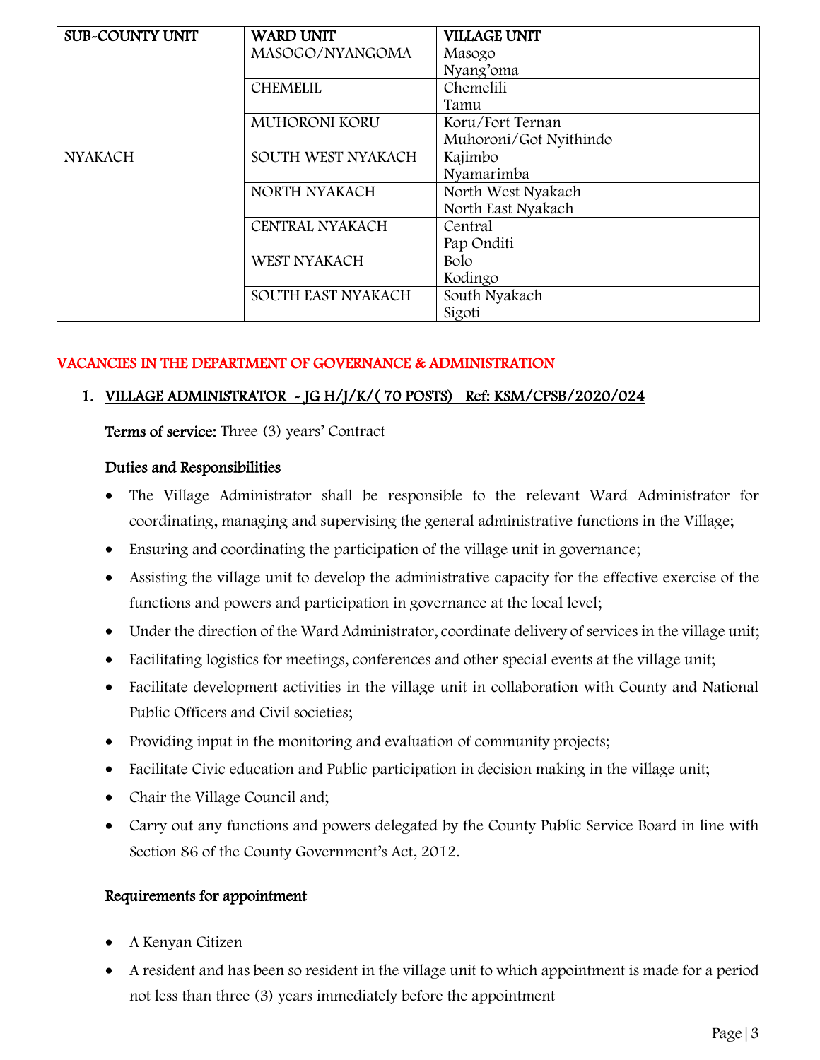| <b>SUB-COUNTY UNIT</b> | <b>WARD UNIT</b>   | <b>VILLAGE UNIT</b>    |
|------------------------|--------------------|------------------------|
|                        | MASOGO/NYANGOMA    | Masogo                 |
|                        |                    | Nyang'oma              |
|                        | <b>CHEMELIL</b>    | Chemelili              |
|                        |                    | Tamu                   |
|                        | MUHORONI KORU      | Koru/Fort Ternan       |
|                        |                    | Muhoroni/Got Nyithindo |
| <b>NYAKACH</b>         | SOUTH WEST NYAKACH | Kajimbo                |
|                        |                    | Nyamarimba             |
|                        | NORTH NYAKACH      | North West Nyakach     |
|                        |                    | North East Nyakach     |
|                        | CENTRAL NYAKACH    | Central                |
|                        |                    | Pap Onditi             |
|                        | WEST NYAKACH       | Bolo                   |
|                        |                    | Kodingo                |
|                        | SOUTH EAST NYAKACH | South Nyakach          |
|                        |                    | Sigoti                 |

#### VACANCIES IN THE DEPARTMENT OF GOVERNANCE & ADMINISTRATION

#### 1. VILLAGE ADMINISTRATOR - JG H/J/K/( 70 POSTS) Ref: KSM/CPSB/2020/024

Terms of service: Three (3) years' Contract

#### Duties and Responsibilities

- The Village Administrator shall be responsible to the relevant Ward Administrator for coordinating, managing and supervising the general administrative functions in the Village;
- Ensuring and coordinating the participation of the village unit in governance;
- Assisting the village unit to develop the administrative capacity for the effective exercise of the functions and powers and participation in governance at the local level;
- Under the direction of the Ward Administrator, coordinate delivery of services in the village unit;
- Facilitating logistics for meetings, conferences and other special events at the village unit;
- Facilitate development activities in the village unit in collaboration with County and National Public Officers and Civil societies;
- Providing input in the monitoring and evaluation of community projects;
- Facilitate Civic education and Public participation in decision making in the village unit;
- Chair the Village Council and;
- Carry out any functions and powers delegated by the County Public Service Board in line with Section 86 of the County Government's Act, 2012.

- A Kenyan Citizen
- A resident and has been so resident in the village unit to which appointment is made for a period not less than three (3) years immediately before the appointment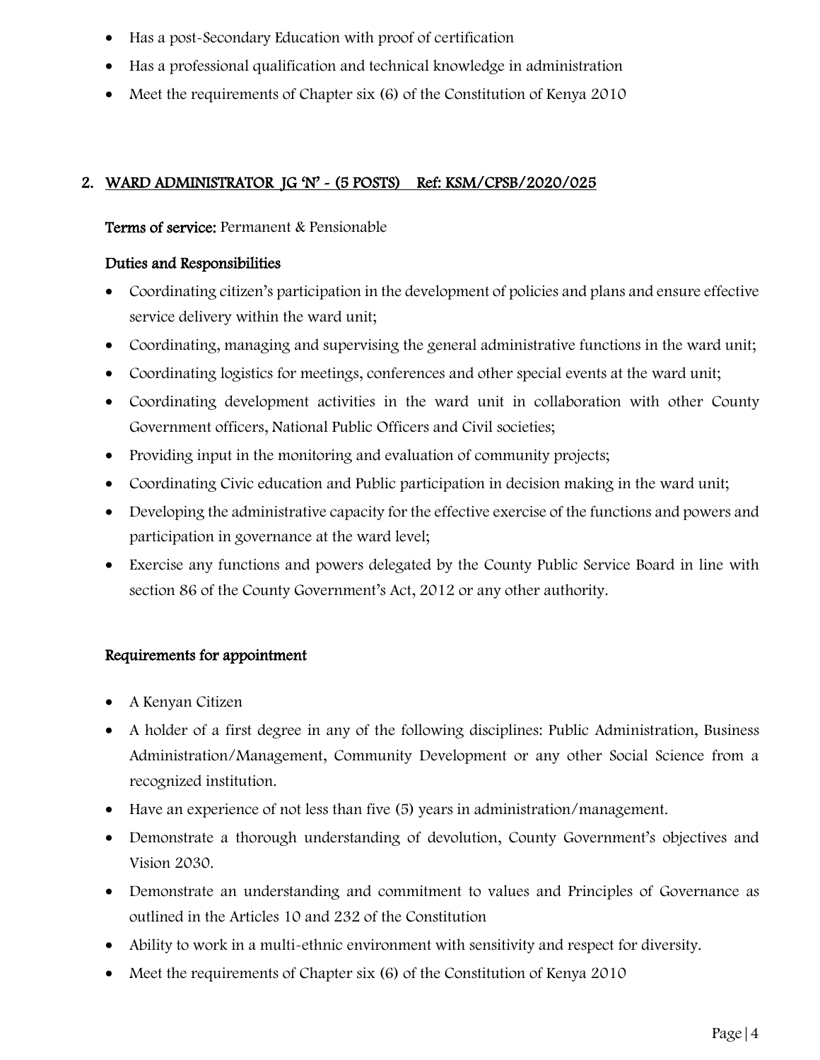- Has a post-Secondary Education with proof of certification
- Has a professional qualification and technical knowledge in administration
- Meet the requirements of Chapter six (6) of the Constitution of Kenya 2010

# 2. WARD ADMINISTRATOR JG 'N' ~ (5 POSTS) Ref: KSM/CPSB/2020/025

## Terms of service: Permanent & Pensionable

## Duties and Responsibilities

- Coordinating citizen's participation in the development of policies and plans and ensure effective service delivery within the ward unit;
- Coordinating, managing and supervising the general administrative functions in the ward unit;
- Coordinating logistics for meetings, conferences and other special events at the ward unit;
- Coordinating development activities in the ward unit in collaboration with other County Government officers, National Public Officers and Civil societies;
- Providing input in the monitoring and evaluation of community projects;
- Coordinating Civic education and Public participation in decision making in the ward unit;
- Developing the administrative capacity for the effective exercise of the functions and powers and participation in governance at the ward level;
- Exercise any functions and powers delegated by the County Public Service Board in line with section 86 of the County Government's Act, 2012 or any other authority.

- A Kenyan Citizen
- A holder of a first degree in any of the following disciplines: Public Administration, Business Administration/Management, Community Development or any other Social Science from a recognized institution.
- Have an experience of not less than five (5) years in administration/management.
- Demonstrate a thorough understanding of devolution, County Government's objectives and Vision 2030.
- Demonstrate an understanding and commitment to values and Principles of Governance as outlined in the Articles 10 and 232 of the Constitution
- Ability to work in a multi-ethnic environment with sensitivity and respect for diversity.
- Meet the requirements of Chapter six (6) of the Constitution of Kenya 2010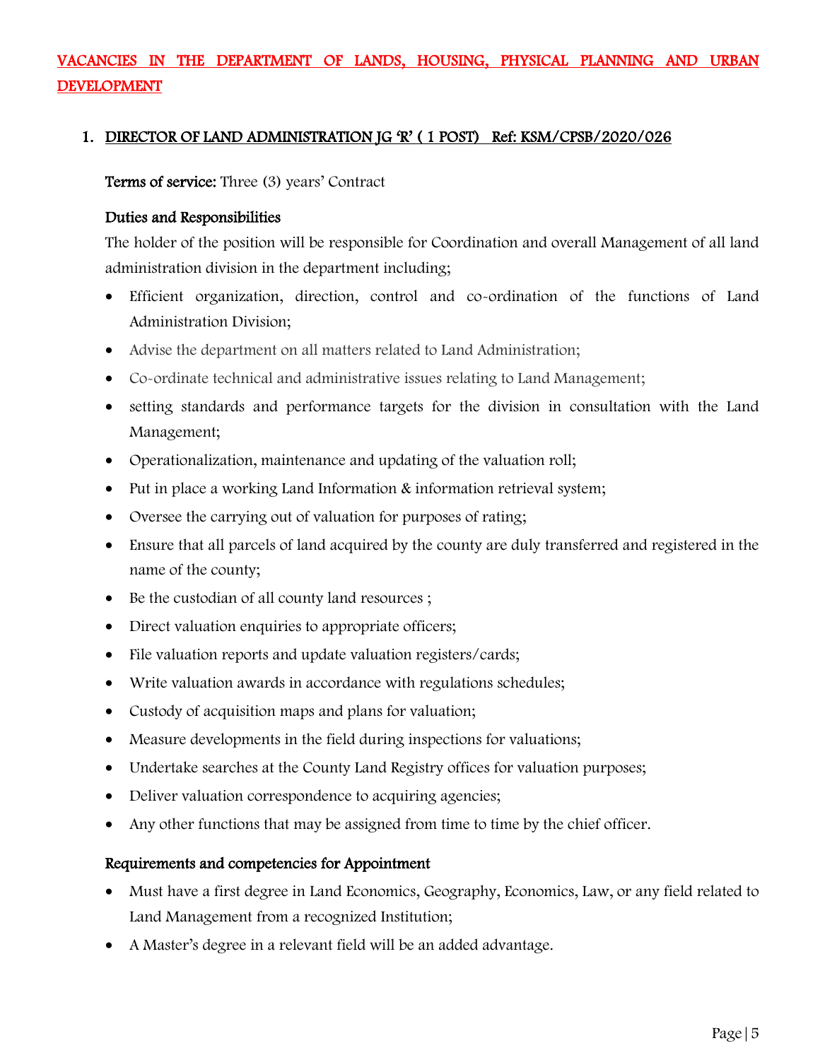# VACANCIES IN THE DEPARTMENT OF LANDS, HOUSING, PHYSICAL PLANNING AND URBAN DEVELOPMENT

#### 1. DIRECTOR OF LAND ADMINISTRATION JG 'R' ( 1 POST) Ref: KSM/CPSB/2020/026

Terms of service: Three (3) years' Contract

#### Duties and Responsibilities

The holder of the position will be responsible for Coordination and overall Management of all land administration division in the department including;

- Efficient organization, direction, control and co-ordination of the functions of Land Administration Division;
- Advise the department on all matters related to Land Administration;
- Co-ordinate technical and administrative issues relating to Land Management;
- setting standards and performance targets for the division in consultation with the Land Management;
- Operationalization, maintenance and updating of the valuation roll;
- Put in place a working Land Information & information retrieval system;
- Oversee the carrying out of valuation for purposes of rating;
- Ensure that all parcels of land acquired by the county are duly transferred and registered in the name of the county;
- Be the custodian of all county land resources ;
- Direct valuation enquiries to appropriate officers;
- File valuation reports and update valuation registers/cards;
- Write valuation awards in accordance with regulations schedules;
- Custody of acquisition maps and plans for valuation;
- Measure developments in the field during inspections for valuations;
- Undertake searches at the County Land Registry offices for valuation purposes;
- Deliver valuation correspondence to acquiring agencies;
- Any other functions that may be assigned from time to time by the chief officer.

#### Requirements and competencies for Appointment

- Must have a first degree in Land Economics, Geography, Economics, Law, or any field related to Land Management from a recognized Institution;
- A Master's degree in a relevant field will be an added advantage.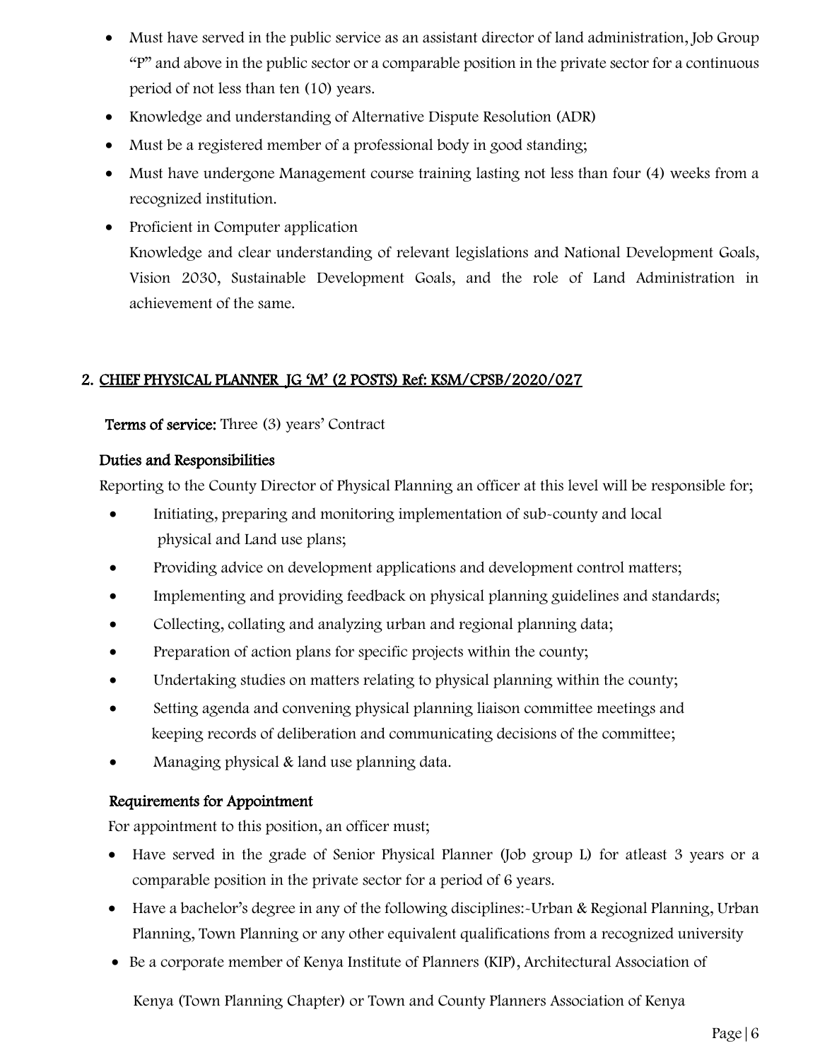- Must have served in the public service as an assistant director of land administration, Job Group "P" and above in the public sector or a comparable position in the private sector for a continuous period of not less than ten (10) years.
- Knowledge and understanding of Alternative Dispute Resolution (ADR)
- Must be a registered member of a professional body in good standing;
- Must have undergone Management course training lasting not less than four (4) weeks from a recognized institution.
- Proficient in Computer application Knowledge and clear understanding of relevant legislations and National Development Goals, Vision 2030, Sustainable Development Goals, and the role of Land Administration in achievement of the same.

## 2. CHIEF PHYSICAL PLANNER JG 'M' (2 POSTS) Ref: KSM/CPSB/2020/027

#### Terms of service: Three (3) years' Contract

#### Duties and Responsibilities

Reporting to the County Director of Physical Planning an officer at this level will be responsible for;

- Initiating, preparing and monitoring implementation of sub-county and local physical and Land use plans;
- Providing advice on development applications and development control matters;
- Implementing and providing feedback on physical planning guidelines and standards;
- Collecting, collating and analyzing urban and regional planning data;
- Preparation of action plans for specific projects within the county;
- Undertaking studies on matters relating to physical planning within the county;
- Setting agenda and convening physical planning liaison committee meetings and keeping records of deliberation and communicating decisions of the committee;
- Managing physical & land use planning data.

### Requirements for Appointment

For appointment to this position, an officer must;

- Have served in the grade of Senior Physical Planner (Job group L) for atleast 3 years or a comparable position in the private sector for a period of 6 years.
- Have a bachelor's degree in any of the following disciplines: Urban & Regional Planning, Urban Planning, Town Planning or any other equivalent qualifications from a recognized university
- Be a corporate member of Kenya Institute of Planners (KIP), Architectural Association of

Kenya (Town Planning Chapter) or Town and County Planners Association of Kenya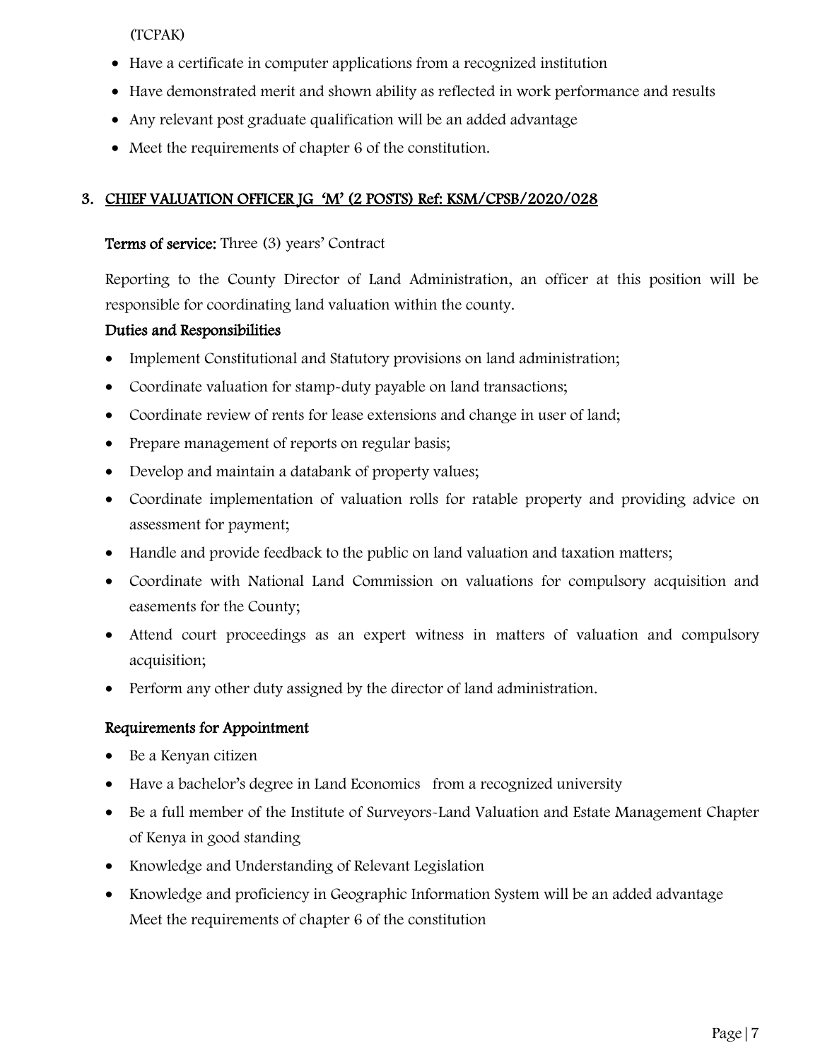(TCPAK)

- Have a certificate in computer applications from a recognized institution
- Have demonstrated merit and shown ability as reflected in work performance and results
- Any relevant post graduate qualification will be an added advantage
- Meet the requirements of chapter 6 of the constitution.

# 3. CHIEF VALUATION OFFICER JG 'M' (2 POSTS) Ref: KSM/CPSB/2020/028

# Terms of service: Three (3) years' Contract

Reporting to the County Director of Land Administration, an officer at this position will be responsible for coordinating land valuation within the county.

# Duties and Responsibilities

- Implement Constitutional and Statutory provisions on land administration;
- Coordinate valuation for stamp-duty payable on land transactions;
- Coordinate review of rents for lease extensions and change in user of land;
- Prepare management of reports on regular basis;
- Develop and maintain a databank of property values;
- Coordinate implementation of valuation rolls for ratable property and providing advice on assessment for payment;
- Handle and provide feedback to the public on land valuation and taxation matters;
- Coordinate with National Land Commission on valuations for compulsory acquisition and easements for the County;
- Attend court proceedings as an expert witness in matters of valuation and compulsory acquisition;
- Perform any other duty assigned by the director of land administration.

- Be a Kenyan citizen
- Have a bachelor's degree in Land Economics from a recognized university
- Be a full member of the Institute of Surveyors-Land Valuation and Estate Management Chapter of Kenya in good standing
- Knowledge and Understanding of Relevant Legislation
- Knowledge and proficiency in Geographic Information System will be an added advantage Meet the requirements of chapter 6 of the constitution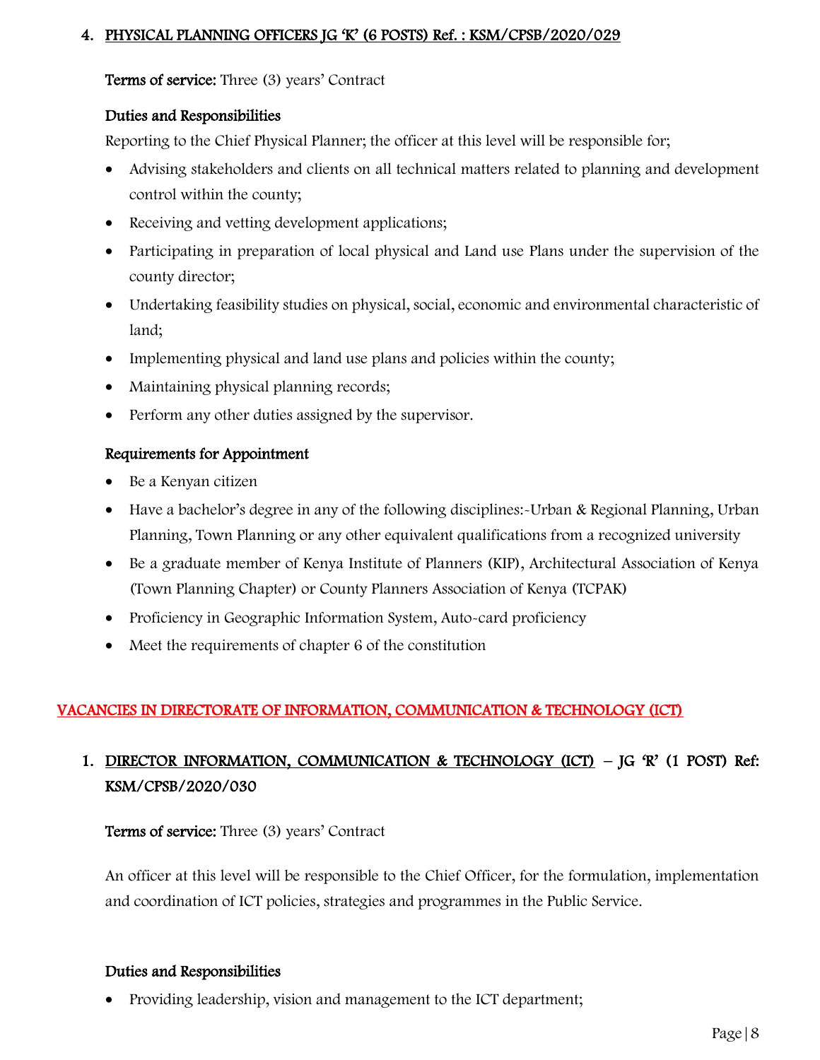### 4. PHYSICAL PLANNING OFFICERS JG 'K' (6 POSTS) Ref. : KSM/CPSB/2020/029

Terms of service: Three (3) years' Contract

## Duties and Responsibilities

Reporting to the Chief Physical Planner; the officer at this level will be responsible for;

- Advising stakeholders and clients on all technical matters related to planning and development control within the county;
- Receiving and vetting development applications;
- Participating in preparation of local physical and Land use Plans under the supervision of the county director;
- Undertaking feasibility studies on physical, social, economic and environmental characteristic of land;
- Implementing physical and land use plans and policies within the county;
- Maintaining physical planning records;
- Perform any other duties assigned by the supervisor.

# Requirements for Appointment

- Be a Kenyan citizen
- Have a bachelor's degree in any of the following disciplines: Urban & Regional Planning, Urban Planning, Town Planning or any other equivalent qualifications from a recognized university
- Be a graduate member of Kenya Institute of Planners (KIP), Architectural Association of Kenya (Town Planning Chapter) or County Planners Association of Kenya (TCPAK)
- Proficiency in Geographic Information System, Auto-card proficiency
- Meet the requirements of chapter 6 of the constitution

# VACANCIES IN DIRECTORATE OF INFORMATION, COMMUNICATION & TECHNOLOGY (ICT)

# 1. DIRECTOR INFORMATION, COMMUNICATION & TECHNOLOGY  $(ICT) - JG \mathcal{R}'$  (1 POST) Ref: KSM/CPSB/2020/030

# Terms of service: Three (3) years' Contract

An officer at this level will be responsible to the Chief Officer, for the formulation, implementation and coordination of ICT policies, strategies and programmes in the Public Service.

### Duties and Responsibilities

• Providing leadership, vision and management to the ICT department;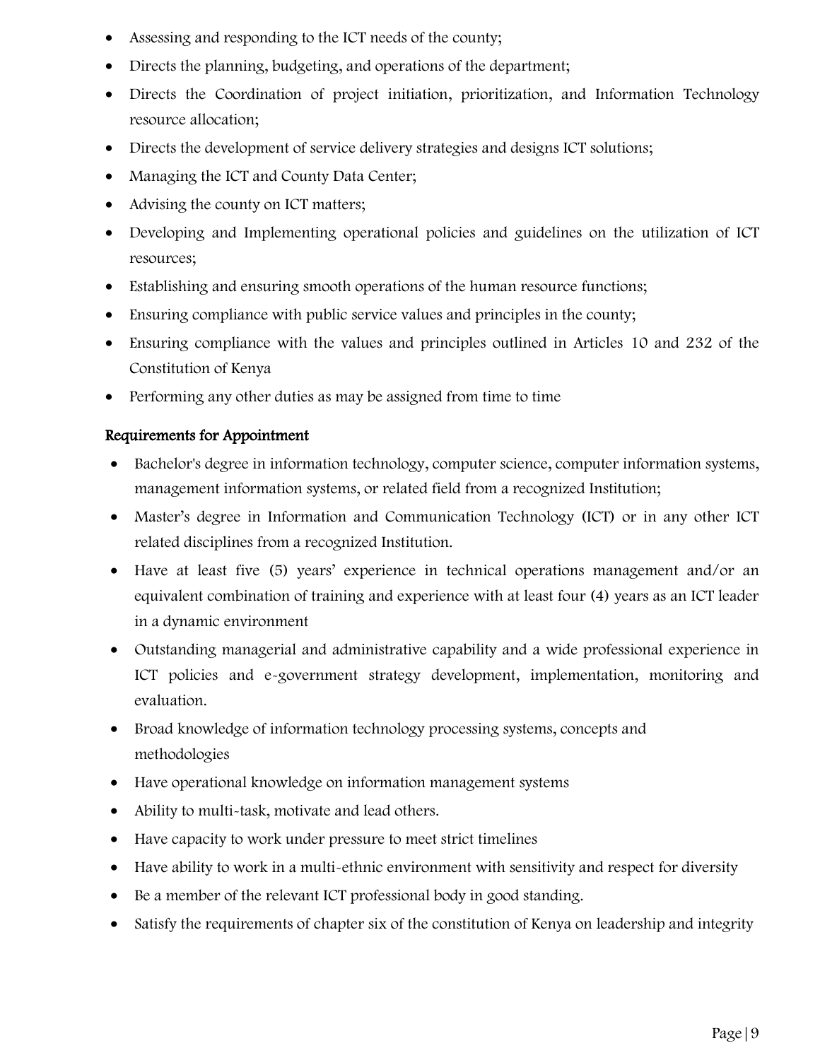- Assessing and responding to the ICT needs of the county;
- Directs the planning, budgeting, and operations of the department;
- Directs the Coordination of project initiation, prioritization, and Information Technology resource allocation;
- Directs the development of service delivery strategies and designs ICT solutions;
- Managing the ICT and County Data Center;
- Advising the county on ICT matters;
- Developing and Implementing operational policies and guidelines on the utilization of ICT resources;
- Establishing and ensuring smooth operations of the human resource functions;
- Ensuring compliance with public service values and principles in the county;
- Ensuring compliance with the values and principles outlined in Articles 10 and 232 of the Constitution of Kenya
- Performing any other duties as may be assigned from time to time

- Bachelor's degree in information technology, computer science, computer information systems, management information systems, or related field from a recognized Institution;
- Master's degree in Information and Communication Technology (ICT) or in any other ICT related disciplines from a recognized Institution.
- Have at least five (5) years' experience in technical operations management and/or an equivalent combination of training and experience with at least four (4) years as an ICT leader in a dynamic environment
- Outstanding managerial and administrative capability and a wide professional experience in ICT policies and e-government strategy development, implementation, monitoring and evaluation.
- Broad knowledge of information technology processing systems, concepts and methodologies
- Have operational knowledge on information management systems
- Ability to multi-task, motivate and lead others.
- Have capacity to work under pressure to meet strict timelines
- Have ability to work in a multi-ethnic environment with sensitivity and respect for diversity
- Be a member of the relevant ICT professional body in good standing.
- Satisfy the requirements of chapter six of the constitution of Kenya on leadership and integrity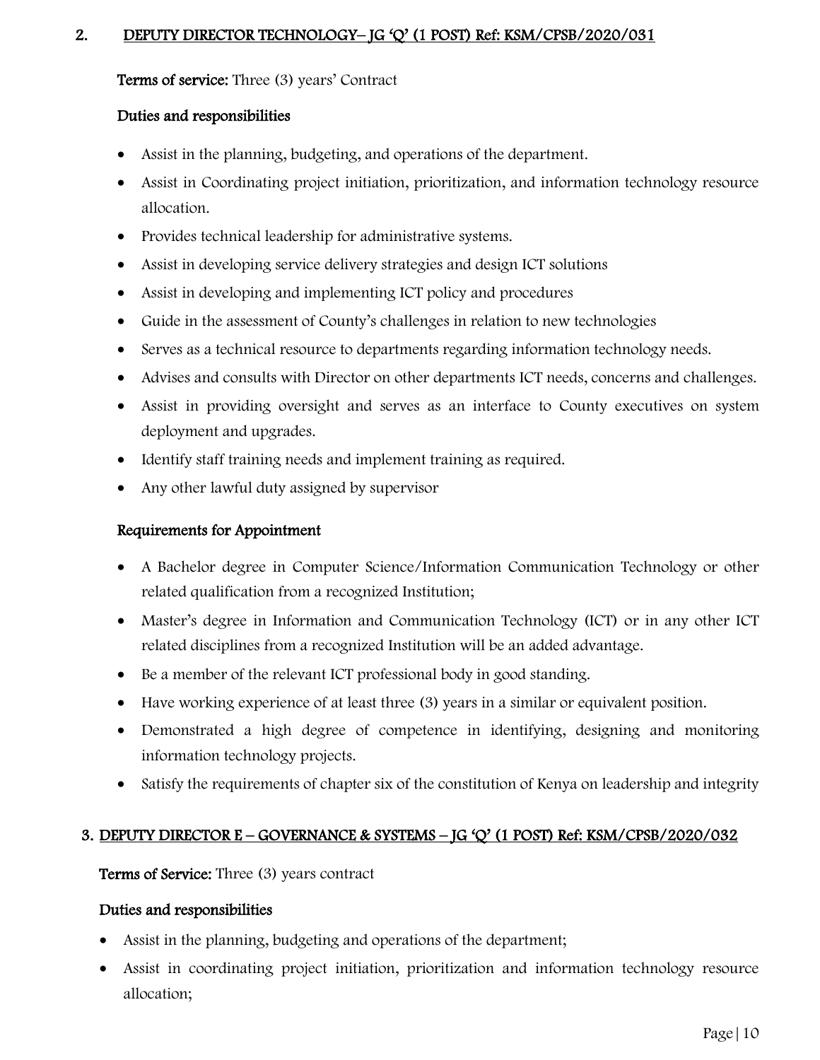## 2. DEPUTY DIRECTOR TECHNOLOGY- JG 'Q' (1 POST) Ref: KSM/CPSB/2020/031

Terms of service: Three (3) years' Contract

#### Duties and responsibilities

- Assist in the planning, budgeting, and operations of the department.
- Assist in Coordinating project initiation, prioritization, and information technology resource allocation.
- Provides technical leadership for administrative systems.
- Assist in developing service delivery strategies and design ICT solutions
- Assist in developing and implementing ICT policy and procedures
- Guide in the assessment of County's challenges in relation to new technologies
- Serves as a technical resource to departments regarding information technology needs.
- Advises and consults with Director on other departments ICT needs, concerns and challenges.
- Assist in providing oversight and serves as an interface to County executives on system deployment and upgrades.
- Identify staff training needs and implement training as required.
- Any other lawful duty assigned by supervisor

### Requirements for Appointment

- A Bachelor degree in Computer Science/Information Communication Technology or other related qualification from a recognized Institution;
- Master's degree in Information and Communication Technology (ICT) or in any other ICT related disciplines from a recognized Institution will be an added advantage.
- Be a member of the relevant ICT professional body in good standing.
- Have working experience of at least three (3) years in a similar or equivalent position.
- Demonstrated a high degree of competence in identifying, designing and monitoring information technology projects.
- Satisfy the requirements of chapter six of the constitution of Kenya on leadership and integrity

### 3. DEPUTY DIRECTOR E – GOVERNANCE & SYSTEMS – JG 'Q' (1 POST) Ref: KSM/CPSB/2020/032

Terms of Service: Three (3) years contract

- Assist in the planning, budgeting and operations of the department;
- Assist in coordinating project initiation, prioritization and information technology resource allocation;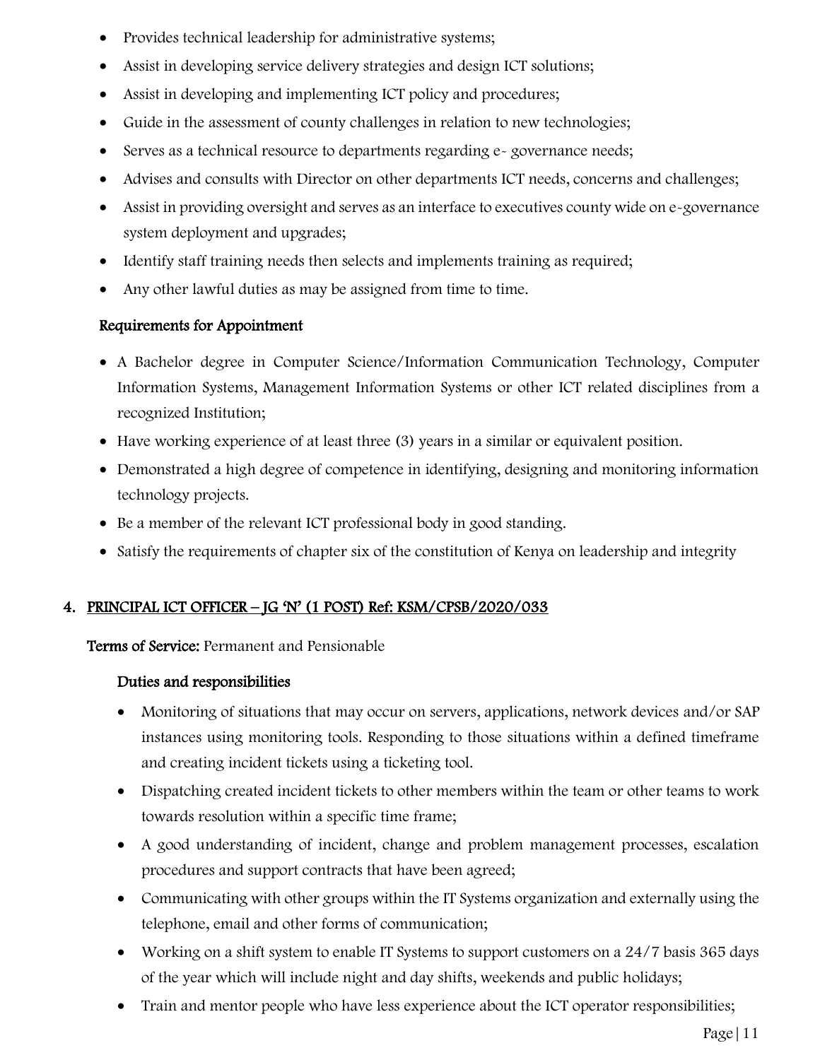- Provides technical leadership for administrative systems;
- Assist in developing service delivery strategies and design ICT solutions;
- Assist in developing and implementing ICT policy and procedures;
- Guide in the assessment of county challenges in relation to new technologies;
- Serves as a technical resource to departments regarding e-governance needs;
- Advises and consults with Director on other departments ICT needs, concerns and challenges;
- Assist in providing oversight and serves as an interface to executives county wide on e-governance system deployment and upgrades;
- Identify staff training needs then selects and implements training as required;
- Any other lawful duties as may be assigned from time to time.

- A Bachelor degree in Computer Science/Information Communication Technology, Computer Information Systems, Management Information Systems or other ICT related disciplines from a recognized Institution;
- Have working experience of at least three (3) years in a similar or equivalent position.
- Demonstrated a high degree of competence in identifying, designing and monitoring information technology projects.
- Be a member of the relevant ICT professional body in good standing.
- Satisfy the requirements of chapter six of the constitution of Kenya on leadership and integrity

# 4. PRINCIPAL ICT OFFICER – JG 'N' (1 POST) Ref: KSM/CPSB/2020/033

Terms of Service: Permanent and Pensionable

- Monitoring of situations that may occur on servers, applications, network devices and/or SAP instances using monitoring tools. Responding to those situations within a defined timeframe and creating incident tickets using a ticketing tool.
- Dispatching created incident tickets to other members within the team or other teams to work towards resolution within a specific time frame;
- A good understanding of incident, change and problem management processes, escalation procedures and support contracts that have been agreed;
- Communicating with other groups within the IT Systems organization and externally using the telephone, email and other forms of communication;
- Working on a shift system to enable IT Systems to support customers on a 24/7 basis 365 days of the year which will include night and day shifts, weekends and public holidays;
- Train and mentor people who have less experience about the ICT operator responsibilities;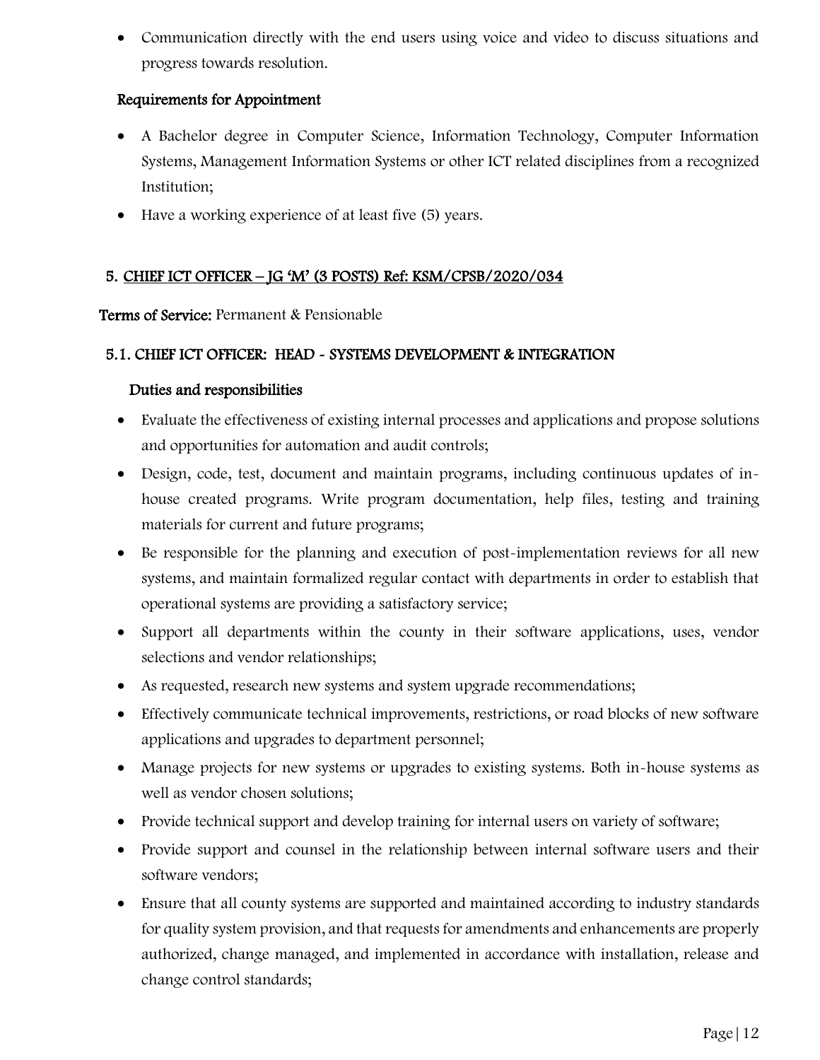• Communication directly with the end users using voice and video to discuss situations and progress towards resolution.

## Requirements for Appointment

- A Bachelor degree in Computer Science, Information Technology, Computer Information Systems, Management Information Systems or other ICT related disciplines from a recognized Institution;
- Have a working experience of at least five (5) years.

# 5. CHIEF ICT OFFICER – JG 'M' (3 POSTS) Ref: KSM/CPSB/2020/034

Terms of Service: Permanent & Pensionable

### 5.1. CHIEF ICT OFFICER: HEAD - SYSTEMS DEVELOPMENT & INTEGRATION

- Evaluate the effectiveness of existing internal processes and applications and propose solutions and opportunities for automation and audit controls;
- Design, code, test, document and maintain programs, including continuous updates of inhouse created programs. Write program documentation, help files, testing and training materials for current and future programs;
- Be responsible for the planning and execution of post-implementation reviews for all new systems, and maintain formalized regular contact with departments in order to establish that operational systems are providing a satisfactory service;
- Support all departments within the county in their software applications, uses, vendor selections and vendor relationships;
- As requested, research new systems and system upgrade recommendations;
- Effectively communicate technical improvements, restrictions, or road blocks of new software applications and upgrades to department personnel;
- Manage projects for new systems or upgrades to existing systems. Both in-house systems as well as vendor chosen solutions;
- Provide technical support and develop training for internal users on variety of software;
- Provide support and counsel in the relationship between internal software users and their software vendors;
- Ensure that all county systems are supported and maintained according to industry standards for quality system provision, and that requests for amendments and enhancements are properly authorized, change managed, and implemented in accordance with installation, release and change control standards;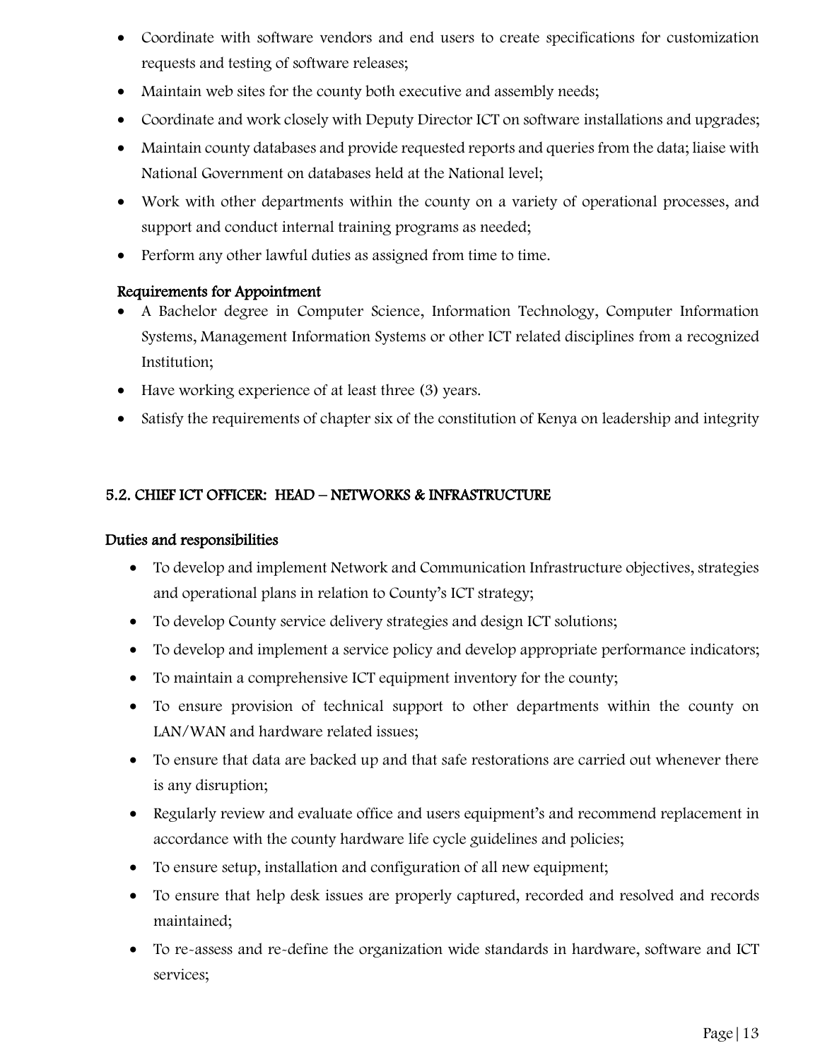- Coordinate with software vendors and end users to create specifications for customization requests and testing of software releases;
- Maintain web sites for the county both executive and assembly needs;
- Coordinate and work closely with Deputy Director ICT on software installations and upgrades;
- Maintain county databases and provide requested reports and queries from the data; liaise with National Government on databases held at the National level;
- Work with other departments within the county on a variety of operational processes, and support and conduct internal training programs as needed;
- Perform any other lawful duties as assigned from time to time.

- A Bachelor degree in Computer Science, Information Technology, Computer Information Systems, Management Information Systems or other ICT related disciplines from a recognized Institution;
- Have working experience of at least three (3) years.
- Satisfy the requirements of chapter six of the constitution of Kenya on leadership and integrity

# 5.2. CHIEF ICT OFFICER: HEAD – NETWORKS & INFRASTRUCTURE

- To develop and implement Network and Communication Infrastructure objectives, strategies and operational plans in relation to County's ICT strategy;
- To develop County service delivery strategies and design ICT solutions;
- To develop and implement a service policy and develop appropriate performance indicators;
- To maintain a comprehensive ICT equipment inventory for the county;
- To ensure provision of technical support to other departments within the county on LAN/WAN and hardware related issues;
- To ensure that data are backed up and that safe restorations are carried out whenever there is any disruption;
- Regularly review and evaluate office and users equipment's and recommend replacement in accordance with the county hardware life cycle guidelines and policies;
- To ensure setup, installation and configuration of all new equipment;
- To ensure that help desk issues are properly captured, recorded and resolved and records maintained;
- To re-assess and re-define the organization wide standards in hardware, software and ICT services;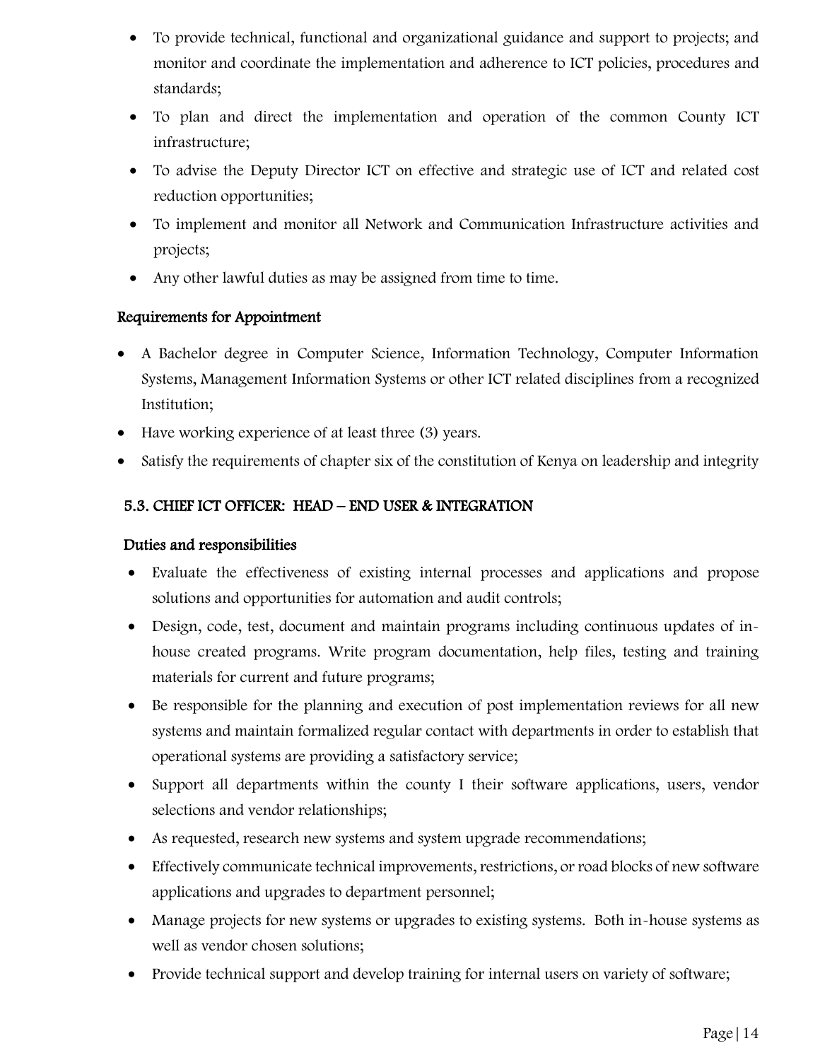- To provide technical, functional and organizational guidance and support to projects; and monitor and coordinate the implementation and adherence to ICT policies, procedures and standards;
- To plan and direct the implementation and operation of the common County ICT infrastructure;
- To advise the Deputy Director ICT on effective and strategic use of ICT and related cost reduction opportunities;
- To implement and monitor all Network and Communication Infrastructure activities and projects;
- Any other lawful duties as may be assigned from time to time.

- A Bachelor degree in Computer Science, Information Technology, Computer Information Systems, Management Information Systems or other ICT related disciplines from a recognized Institution;
- Have working experience of at least three (3) years.
- Satisfy the requirements of chapter six of the constitution of Kenya on leadership and integrity

## 5.3. CHIEF ICT OFFICER: HEAD – END USER & INTEGRATION

- Evaluate the effectiveness of existing internal processes and applications and propose solutions and opportunities for automation and audit controls;
- Design, code, test, document and maintain programs including continuous updates of inhouse created programs. Write program documentation, help files, testing and training materials for current and future programs;
- Be responsible for the planning and execution of post implementation reviews for all new systems and maintain formalized regular contact with departments in order to establish that operational systems are providing a satisfactory service;
- Support all departments within the county I their software applications, users, vendor selections and vendor relationships;
- As requested, research new systems and system upgrade recommendations;
- Effectively communicate technical improvements, restrictions, or road blocks of new software applications and upgrades to department personnel;
- Manage projects for new systems or upgrades to existing systems. Both in-house systems as well as vendor chosen solutions;
- Provide technical support and develop training for internal users on variety of software;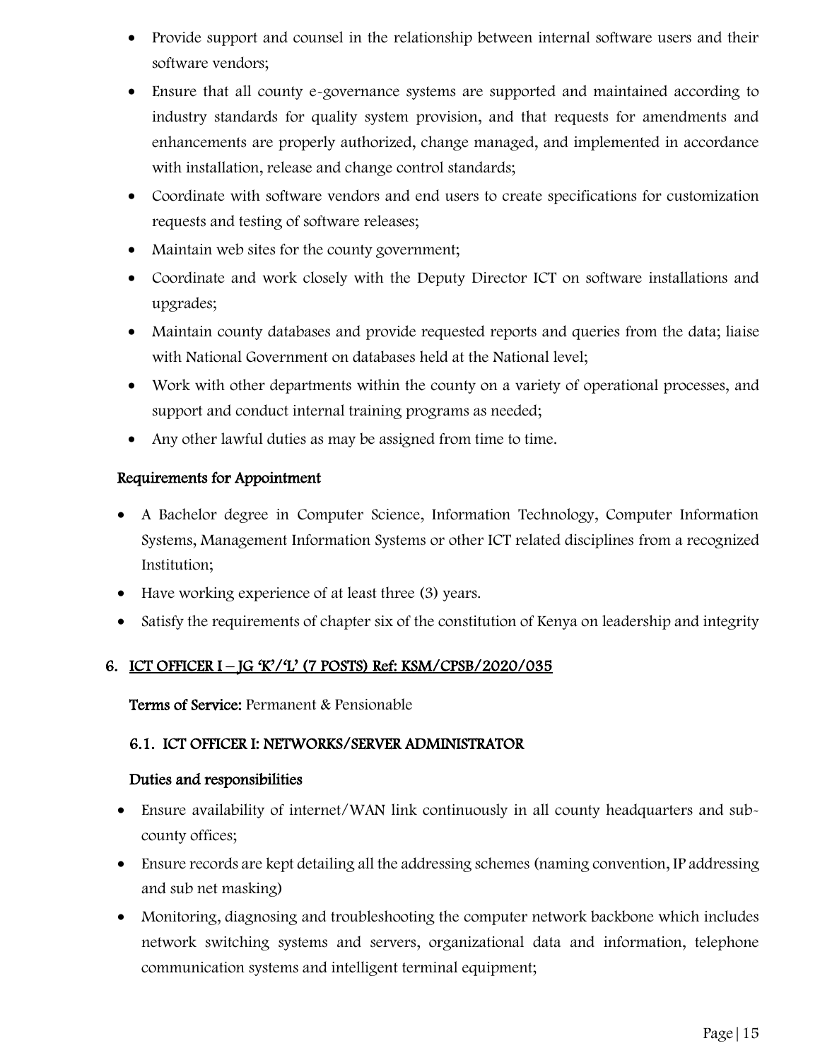- Provide support and counsel in the relationship between internal software users and their software vendors;
- Ensure that all county e-governance systems are supported and maintained according to industry standards for quality system provision, and that requests for amendments and enhancements are properly authorized, change managed, and implemented in accordance with installation, release and change control standards;
- Coordinate with software vendors and end users to create specifications for customization requests and testing of software releases;
- Maintain web sites for the county government;
- Coordinate and work closely with the Deputy Director ICT on software installations and upgrades;
- Maintain county databases and provide requested reports and queries from the data; liaise with National Government on databases held at the National level;
- Work with other departments within the county on a variety of operational processes, and support and conduct internal training programs as needed;
- Any other lawful duties as may be assigned from time to time.

- A Bachelor degree in Computer Science, Information Technology, Computer Information Systems, Management Information Systems or other ICT related disciplines from a recognized Institution;
- Have working experience of at least three (3) years.
- Satisfy the requirements of chapter six of the constitution of Kenya on leadership and integrity

# 6. ICT OFFICER I – JG 'K'/'L' (7 POSTS) Ref: KSM/CPSB/2020/035

Terms of Service: Permanent & Pensionable

# 6.1. ICT OFFICER I: NETWORKS/SERVER ADMINISTRATOR

- Ensure availability of internet/WAN link continuously in all county headquarters and subcounty offices;
- Ensure records are kept detailing all the addressing schemes (naming convention, IP addressing and sub net masking)
- Monitoring, diagnosing and troubleshooting the computer network backbone which includes network switching systems and servers, organizational data and information, telephone communication systems and intelligent terminal equipment;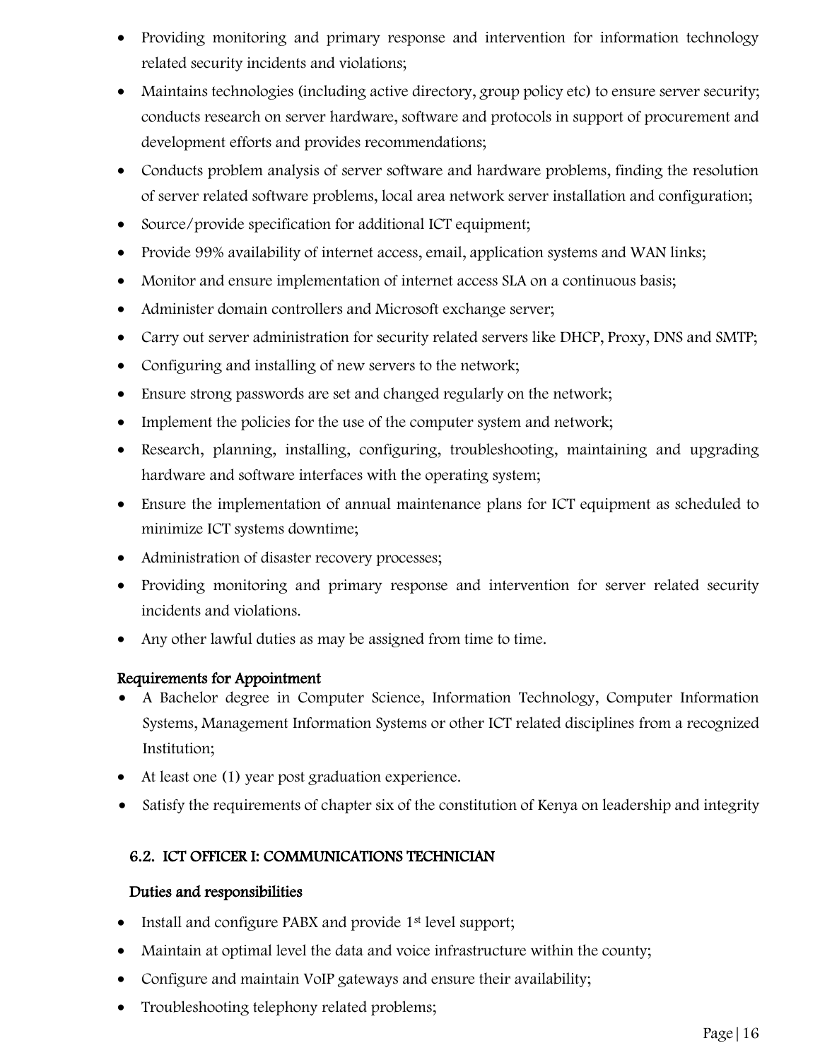- Providing monitoring and primary response and intervention for information technology related security incidents and violations;
- Maintains technologies (including active directory, group policy etc) to ensure server security; conducts research on server hardware, software and protocols in support of procurement and development efforts and provides recommendations;
- Conducts problem analysis of server software and hardware problems, finding the resolution of server related software problems, local area network server installation and configuration;
- Source/provide specification for additional ICT equipment;
- Provide 99% availability of internet access, email, application systems and WAN links;
- Monitor and ensure implementation of internet access SLA on a continuous basis;
- Administer domain controllers and Microsoft exchange server;
- Carry out server administration for security related servers like DHCP, Proxy, DNS and SMTP;
- Configuring and installing of new servers to the network;
- Ensure strong passwords are set and changed regularly on the network;
- Implement the policies for the use of the computer system and network;
- Research, planning, installing, configuring, troubleshooting, maintaining and upgrading hardware and software interfaces with the operating system;
- Ensure the implementation of annual maintenance plans for ICT equipment as scheduled to minimize ICT systems downtime;
- Administration of disaster recovery processes;
- Providing monitoring and primary response and intervention for server related security incidents and violations.
- Any other lawful duties as may be assigned from time to time.

- A Bachelor degree in Computer Science, Information Technology, Computer Information Systems, Management Information Systems or other ICT related disciplines from a recognized Institution;
- At least one (1) year post graduation experience.
- Satisfy the requirements of chapter six of the constitution of Kenya on leadership and integrity

# 6.2. ICT OFFICER I: COMMUNICATIONS TECHNICIAN

- Install and configure PABX and provide 1<sup>st</sup> level support;
- Maintain at optimal level the data and voice infrastructure within the county;
- Configure and maintain VoIP gateways and ensure their availability;
- Troubleshooting telephony related problems;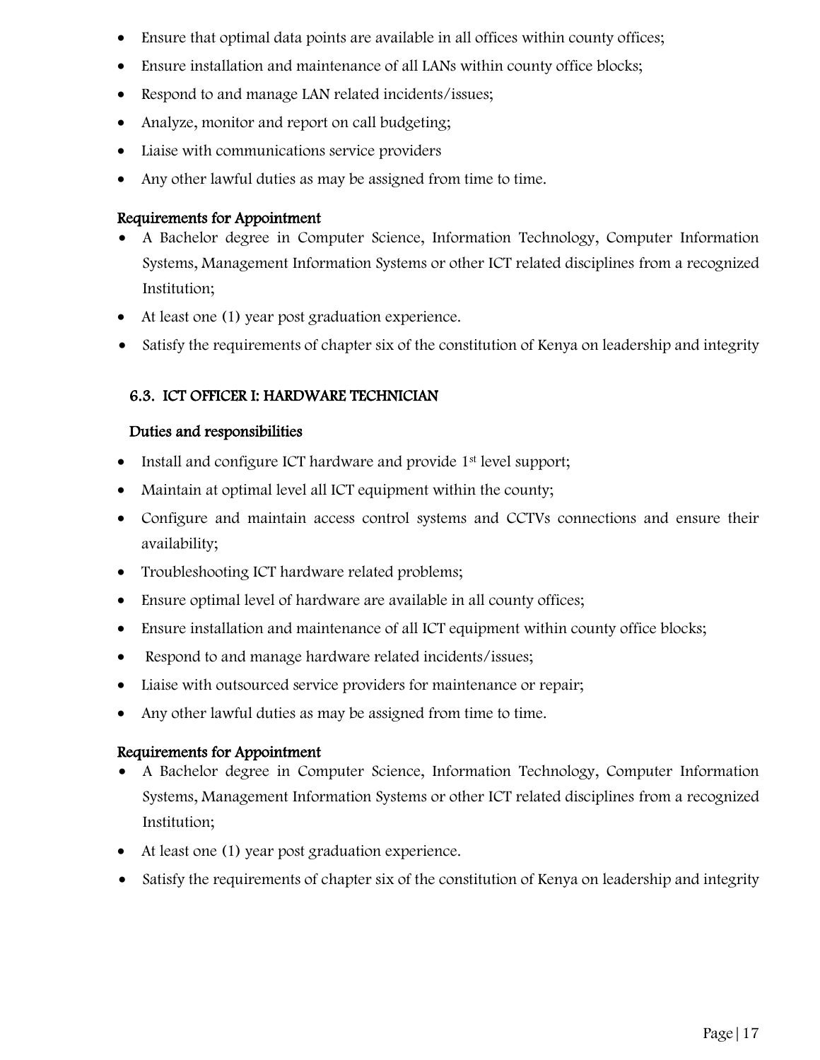- Ensure that optimal data points are available in all offices within county offices;
- Ensure installation and maintenance of all LANs within county office blocks;
- Respond to and manage LAN related incidents/issues;
- Analyze, monitor and report on call budgeting;
- Liaise with communications service providers
- Any other lawful duties as may be assigned from time to time.

- A Bachelor degree in Computer Science, Information Technology, Computer Information Systems, Management Information Systems or other ICT related disciplines from a recognized Institution;
- At least one (1) year post graduation experience.
- Satisfy the requirements of chapter six of the constitution of Kenya on leadership and integrity

# 6.3. ICT OFFICER I: HARDWARE TECHNICIAN

# Duties and responsibilities

- Install and configure ICT hardware and provide 1<sup>st</sup> level support;
- Maintain at optimal level all ICT equipment within the county;
- Configure and maintain access control systems and CCTVs connections and ensure their availability;
- Troubleshooting ICT hardware related problems;
- Ensure optimal level of hardware are available in all county offices;
- Ensure installation and maintenance of all ICT equipment within county office blocks;
- Respond to and manage hardware related incidents/issues;
- Liaise with outsourced service providers for maintenance or repair;
- Any other lawful duties as may be assigned from time to time.

- A Bachelor degree in Computer Science, Information Technology, Computer Information Systems, Management Information Systems or other ICT related disciplines from a recognized Institution;
- At least one (1) year post graduation experience.
- Satisfy the requirements of chapter six of the constitution of Kenya on leadership and integrity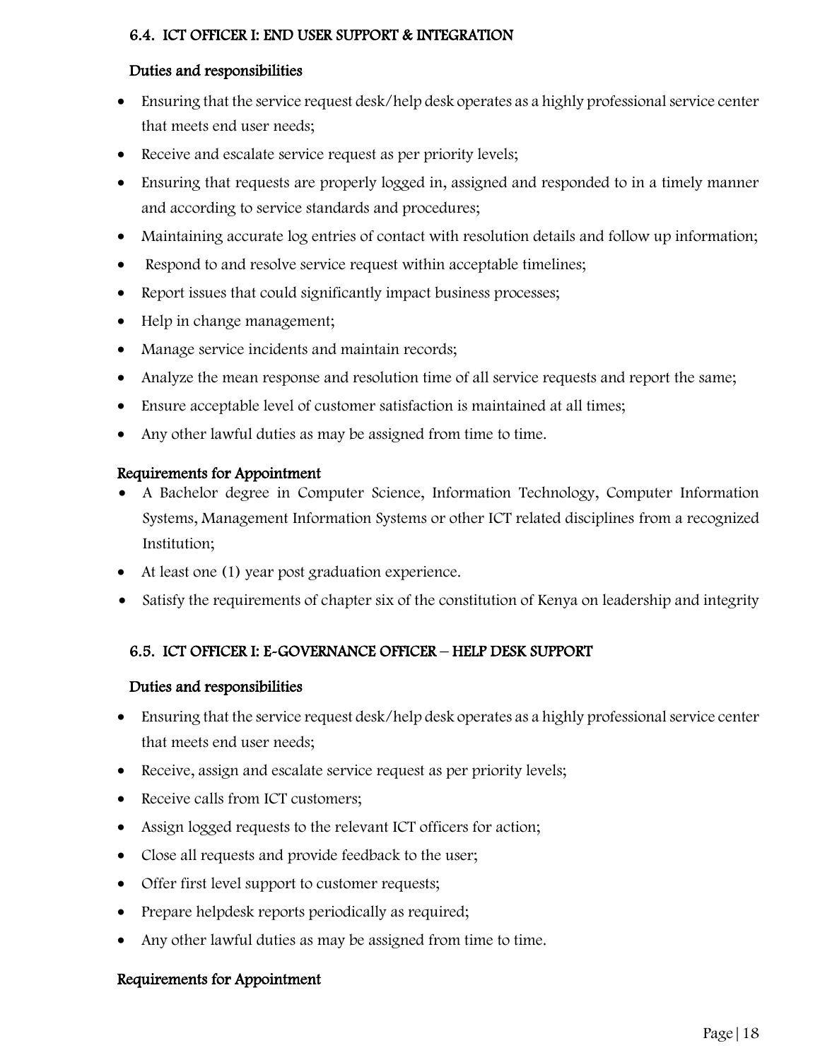## 6.4. ICT OFFICER I: END USER SUPPORT & INTEGRATION

### Duties and responsibilities

- Ensuring that the service request desk/help desk operates as a highly professional service center that meets end user needs;
- Receive and escalate service request as per priority levels;
- Ensuring that requests are properly logged in, assigned and responded to in a timely manner and according to service standards and procedures;
- Maintaining accurate log entries of contact with resolution details and follow up information;
- Respond to and resolve service request within acceptable timelines;
- Report issues that could significantly impact business processes;
- Help in change management;
- Manage service incidents and maintain records;
- Analyze the mean response and resolution time of all service requests and report the same;
- Ensure acceptable level of customer satisfaction is maintained at all times;
- Any other lawful duties as may be assigned from time to time.

### Requirements for Appointment

- A Bachelor degree in Computer Science, Information Technology, Computer Information Systems, Management Information Systems or other ICT related disciplines from a recognized Institution;
- At least one (1) year post graduation experience.
- Satisfy the requirements of chapter six of the constitution of Kenya on leadership and integrity

### 6.5. ICT OFFICER I: E-GOVERNANCE OFFICER – HELP DESK SUPPORT

#### Duties and responsibilities

- Ensuring that the service request desk/help desk operates as a highly professional service center that meets end user needs;
- Receive, assign and escalate service request as per priority levels;
- Receive calls from ICT customers;
- Assign logged requests to the relevant ICT officers for action;
- Close all requests and provide feedback to the user;
- Offer first level support to customer requests;
- Prepare helpdesk reports periodically as required;
- Any other lawful duties as may be assigned from time to time.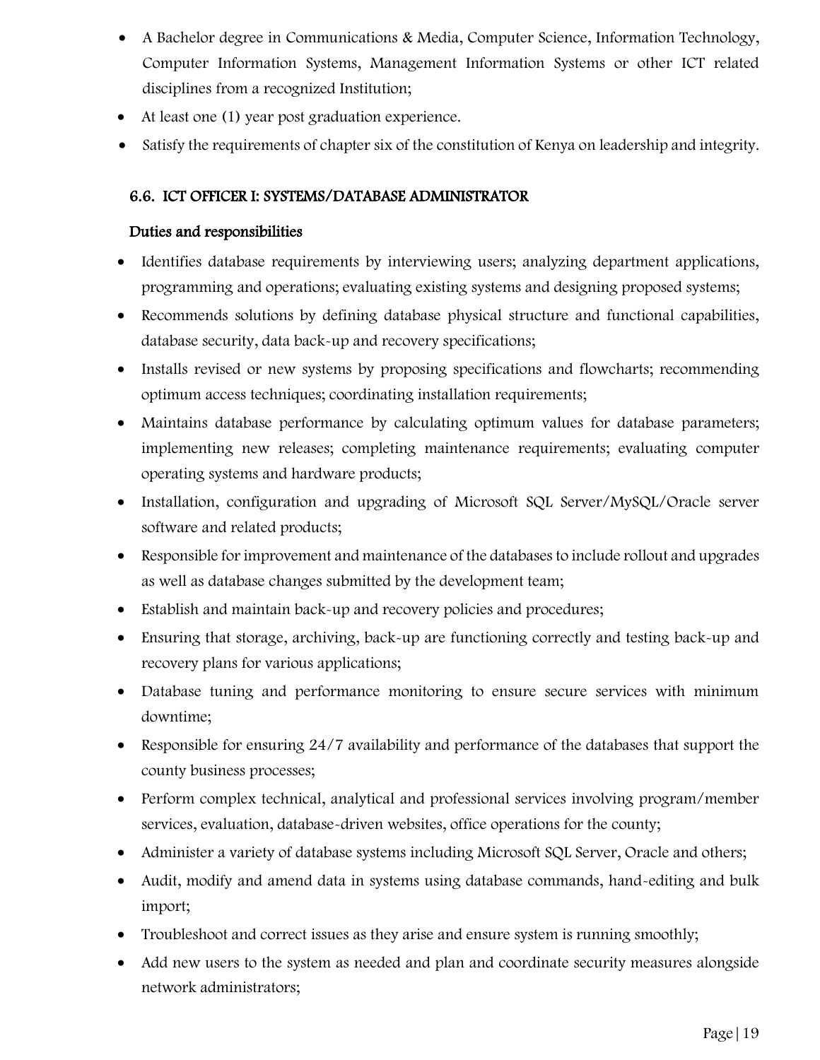- A Bachelor degree in Communications & Media, Computer Science, Information Technology, Computer Information Systems, Management Information Systems or other ICT related disciplines from a recognized Institution;
- At least one (1) year post graduation experience.
- Satisfy the requirements of chapter six of the constitution of Kenya on leadership and integrity.

# 6.6. ICT OFFICER I: SYSTEMS/DATABASE ADMINISTRATOR

- Identifies database requirements by interviewing users; analyzing department applications, programming and operations; evaluating existing systems and designing proposed systems;
- Recommends solutions by defining database physical structure and functional capabilities, database security, data back-up and recovery specifications;
- Installs revised or new systems by proposing specifications and flowcharts; recommending optimum access techniques; coordinating installation requirements;
- Maintains database performance by calculating optimum values for database parameters; implementing new releases; completing maintenance requirements; evaluating computer operating systems and hardware products;
- Installation, configuration and upgrading of Microsoft SQL Server/MySQL/Oracle server software and related products;
- Responsible for improvement and maintenance of the databases to include rollout and upgrades as well as database changes submitted by the development team;
- Establish and maintain back-up and recovery policies and procedures;
- Ensuring that storage, archiving, back-up are functioning correctly and testing back-up and recovery plans for various applications;
- Database tuning and performance monitoring to ensure secure services with minimum downtime;
- Responsible for ensuring 24/7 availability and performance of the databases that support the county business processes;
- Perform complex technical, analytical and professional services involving program/member services, evaluation, database-driven websites, office operations for the county;
- Administer a variety of database systems including Microsoft SQL Server, Oracle and others;
- Audit, modify and amend data in systems using database commands, hand-editing and bulk import;
- Troubleshoot and correct issues as they arise and ensure system is running smoothly;
- Add new users to the system as needed and plan and coordinate security measures alongside network administrators;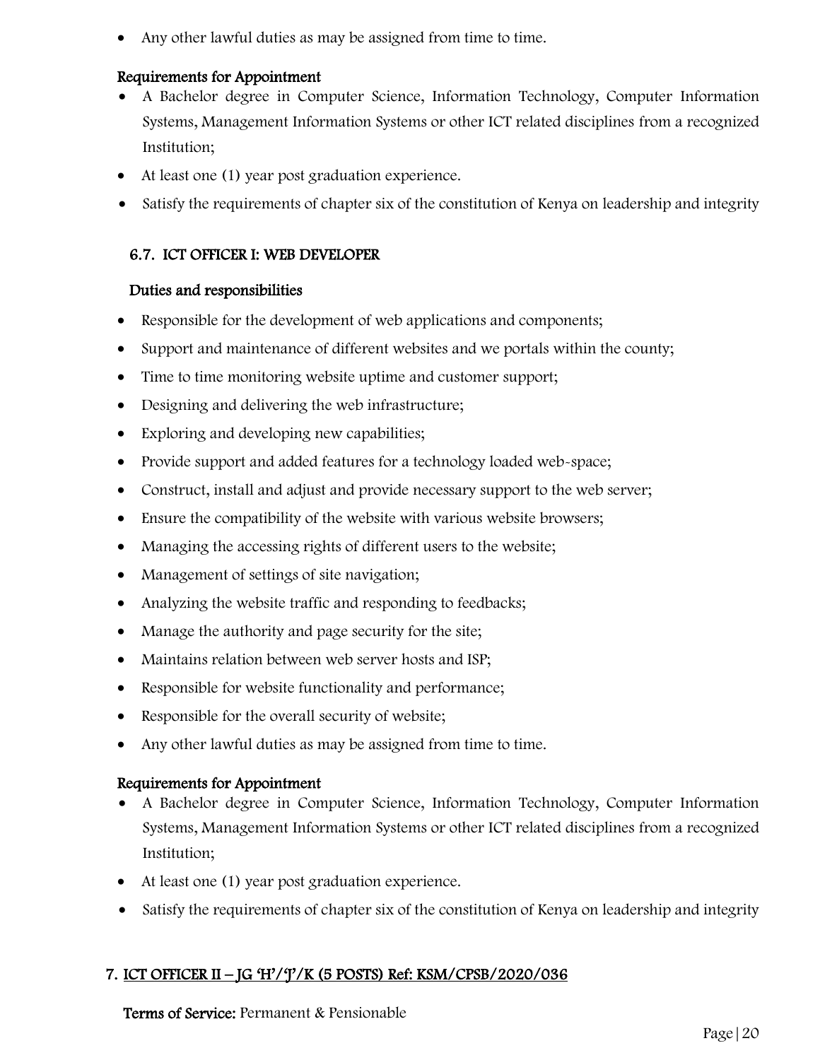Any other lawful duties as may be assigned from time to time.

# Requirements for Appointment

- A Bachelor degree in Computer Science, Information Technology, Computer Information Systems, Management Information Systems or other ICT related disciplines from a recognized Institution;
- At least one (1) year post graduation experience.
- Satisfy the requirements of chapter six of the constitution of Kenya on leadership and integrity

# 6.7. ICT OFFICER I: WEB DEVELOPER

### Duties and responsibilities

- Responsible for the development of web applications and components;
- Support and maintenance of different websites and we portals within the county;
- Time to time monitoring website uptime and customer support;
- Designing and delivering the web infrastructure;
- Exploring and developing new capabilities;
- Provide support and added features for a technology loaded web-space;
- Construct, install and adjust and provide necessary support to the web server;
- Ensure the compatibility of the website with various website browsers;
- Managing the accessing rights of different users to the website;
- Management of settings of site navigation;
- Analyzing the website traffic and responding to feedbacks;
- Manage the authority and page security for the site;
- Maintains relation between web server hosts and ISP;
- Responsible for website functionality and performance;
- Responsible for the overall security of website;
- Any other lawful duties as may be assigned from time to time.

### Requirements for Appointment

- A Bachelor degree in Computer Science, Information Technology, Computer Information Systems, Management Information Systems or other ICT related disciplines from a recognized Institution;
- At least one (1) year post graduation experience.
- Satisfy the requirements of chapter six of the constitution of Kenya on leadership and integrity

# 7. ICT OFFICER II – JG 'H'/'J'/K (5 POSTS) Ref: KSM/CPSB/2020/036

Terms of Service: Permanent & Pensionable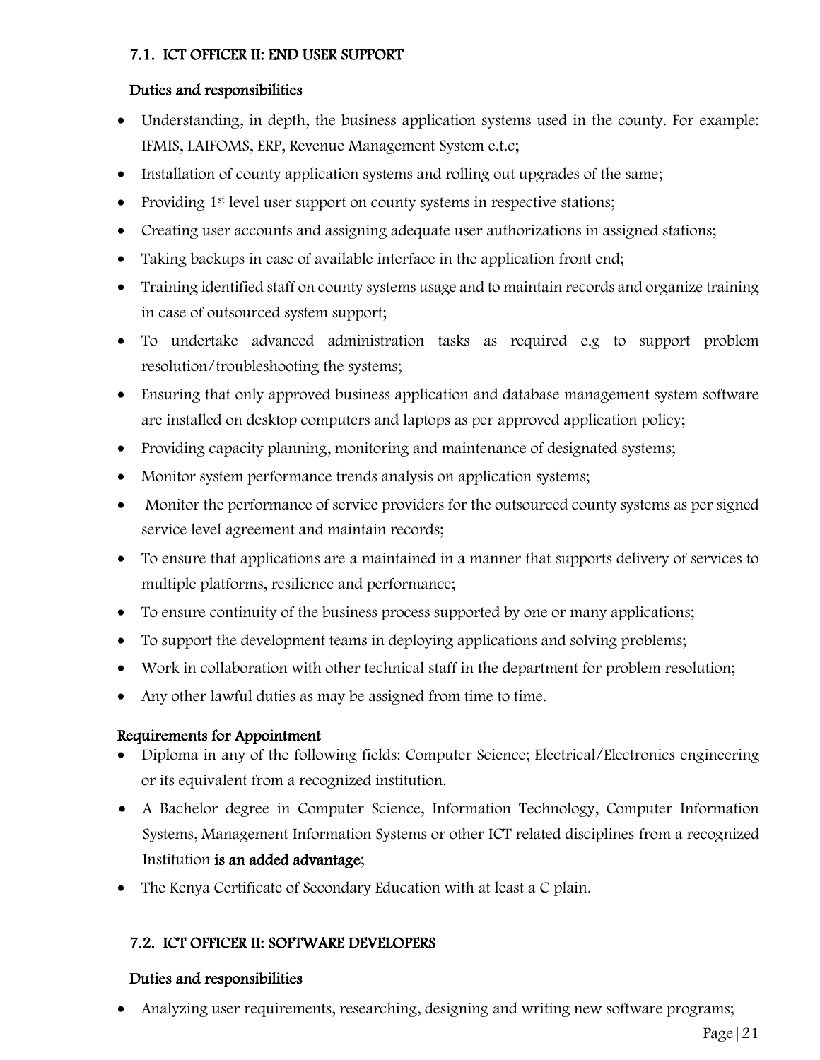## 7.1. ICT OFFICER II: END USER SUPPORT

### Duties and responsibilities

- Understanding, in depth, the business application systems used in the county. For example: IFMIS, LAIFOMS, ERP, Revenue Management System e.t.c;
- Installation of county application systems and rolling out upgrades of the same;
- Providing 1<sup>st</sup> level user support on county systems in respective stations;
- Creating user accounts and assigning adequate user authorizations in assigned stations;
- Taking backups in case of available interface in the application front end;
- Training identified staff on county systems usage and to maintain records and organize training in case of outsourced system support;
- To undertake advanced administration tasks as required e.g to support problem resolution/troubleshooting the systems;
- Ensuring that only approved business application and database management system software are installed on desktop computers and laptops as per approved application policy;
- Providing capacity planning, monitoring and maintenance of designated systems;
- Monitor system performance trends analysis on application systems;
- Monitor the performance of service providers for the outsourced county systems as per signed service level agreement and maintain records;
- To ensure that applications are a maintained in a manner that supports delivery of services to multiple platforms, resilience and performance;
- To ensure continuity of the business process supported by one or many applications;
- To support the development teams in deploying applications and solving problems;
- Work in collaboration with other technical staff in the department for problem resolution;
- Any other lawful duties as may be assigned from time to time.

### Requirements for Appointment

- Diploma in any of the following fields: Computer Science; Electrical/Electronics engineering or its equivalent from a recognized institution.
- A Bachelor degree in Computer Science, Information Technology, Computer Information Systems, Management Information Systems or other ICT related disciplines from a recognized Institution is an added advantage;
- The Kenya Certificate of Secondary Education with at least a C plain.

## 7.2. ICT OFFICER II: SOFTWARE DEVELOPERS

### Duties and responsibilities

• Analyzing user requirements, researching, designing and writing new software programs;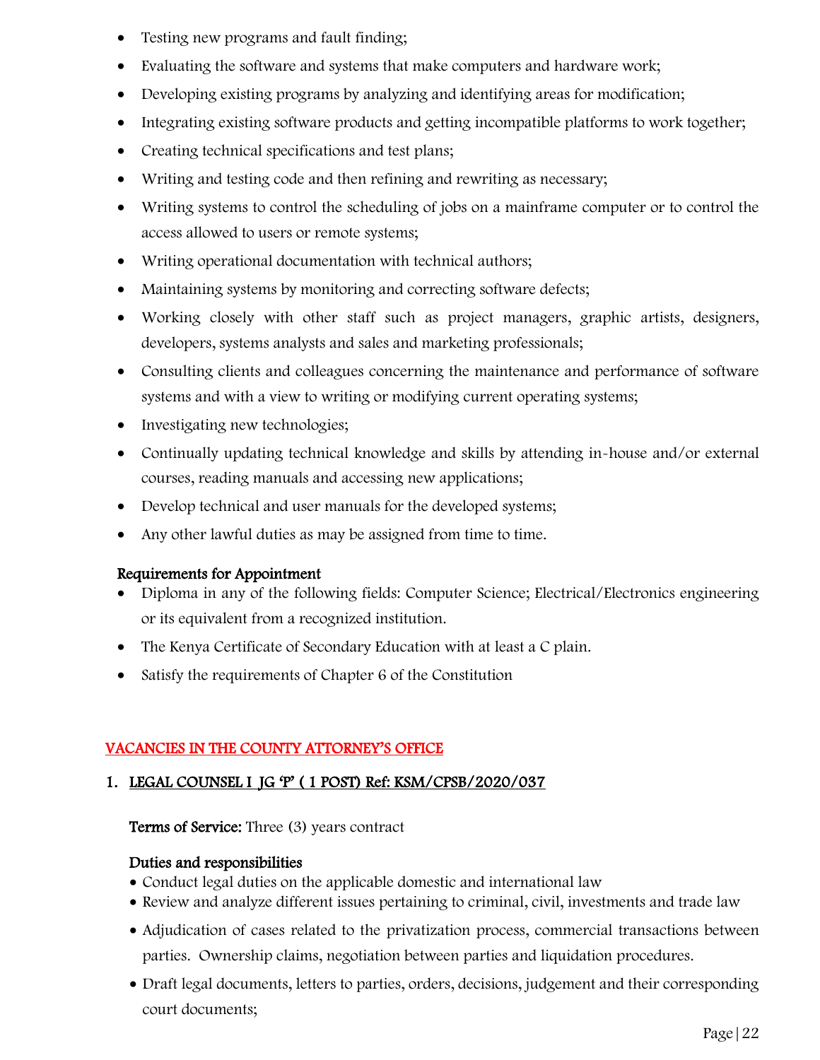- Testing new programs and fault finding;
- Evaluating the software and systems that make computers and hardware work;
- Developing existing programs by analyzing and identifying areas for modification;
- Integrating existing software products and getting incompatible platforms to work together;
- Creating technical specifications and test plans;
- Writing and testing code and then refining and rewriting as necessary;
- Writing systems to control the scheduling of jobs on a mainframe computer or to control the access allowed to users or remote systems;
- Writing operational documentation with technical authors;
- Maintaining systems by monitoring and correcting software defects;
- Working closely with other staff such as project managers, graphic artists, designers, developers, systems analysts and sales and marketing professionals;
- Consulting clients and colleagues concerning the maintenance and performance of software systems and with a view to writing or modifying current operating systems;
- Investigating new technologies;
- Continually updating technical knowledge and skills by attending in-house and/or external courses, reading manuals and accessing new applications;
- Develop technical and user manuals for the developed systems;
- Any other lawful duties as may be assigned from time to time.

- Diploma in any of the following fields: Computer Science; Electrical/Electronics engineering or its equivalent from a recognized institution.
- The Kenya Certificate of Secondary Education with at least a C plain.
- Satisfy the requirements of Chapter 6 of the Constitution

# VACANCIES IN THE COUNTY ATTORNEY'S OFFICE

# 1. LEGAL COUNSEL I JG 'P' ( 1 POST) Ref: KSM/CPSB/2020/037

### Terms of Service: Three (3) years contract

- Conduct legal duties on the applicable domestic and international law
- Review and analyze different issues pertaining to criminal, civil, investments and trade law
- Adjudication of cases related to the privatization process, commercial transactions between parties. Ownership claims, negotiation between parties and liquidation procedures.
- Draft legal documents, letters to parties, orders, decisions, judgement and their corresponding court documents;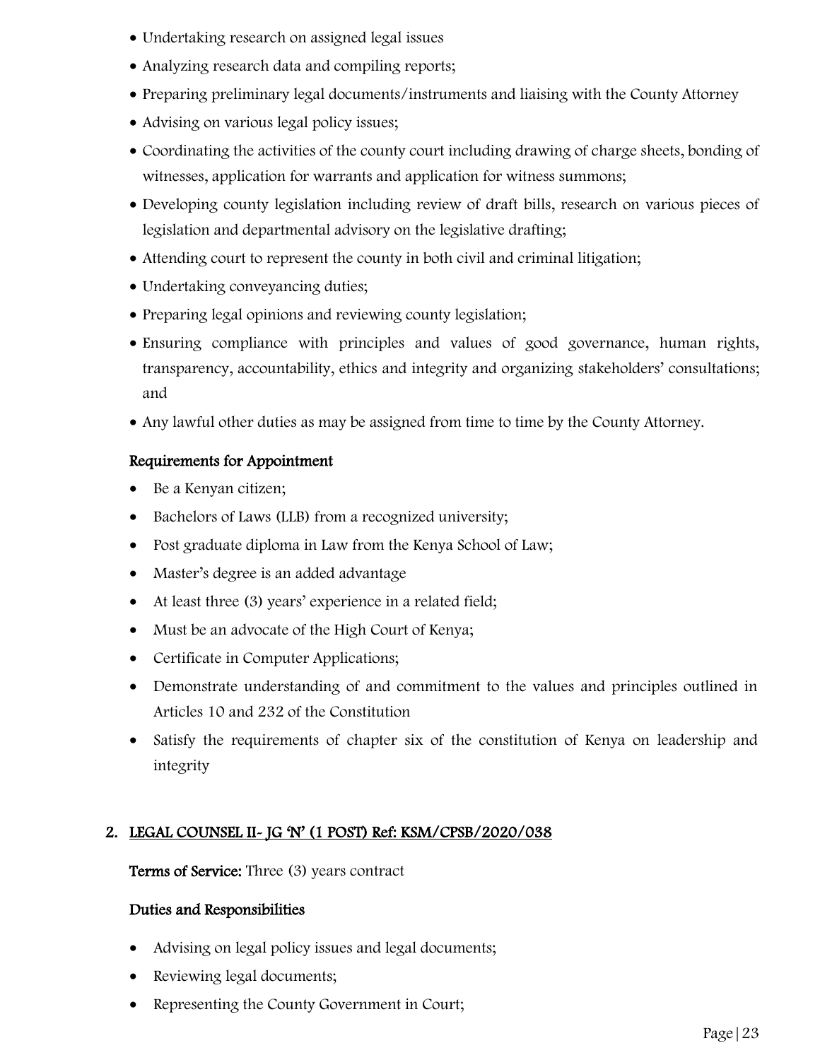- Undertaking research on assigned legal issues
- Analyzing research data and compiling reports;
- Preparing preliminary legal documents/instruments and liaising with the County Attorney
- Advising on various legal policy issues;
- Coordinating the activities of the county court including drawing of charge sheets, bonding of witnesses, application for warrants and application for witness summons;
- Developing county legislation including review of draft bills, research on various pieces of legislation and departmental advisory on the legislative drafting;
- Attending court to represent the county in both civil and criminal litigation;
- Undertaking conveyancing duties;
- Preparing legal opinions and reviewing county legislation;
- Ensuring compliance with principles and values of good governance, human rights, transparency, accountability, ethics and integrity and organizing stakeholders' consultations; and
- Any lawful other duties as may be assigned from time to time by the County Attorney.

- Be a Kenyan citizen;
- Bachelors of Laws (LLB) from a recognized university;
- Post graduate diploma in Law from the Kenya School of Law;
- Master's degree is an added advantage
- At least three (3) years' experience in a related field;
- Must be an advocate of the High Court of Kenya;
- Certificate in Computer Applications;
- Demonstrate understanding of and commitment to the values and principles outlined in Articles 10 and 232 of the Constitution
- Satisfy the requirements of chapter six of the constitution of Kenya on leadership and integrity

# 2. LEGAL COUNSEL II- JG 'N' (1 POST) Ref: KSM/CPSB/2020/038

Terms of Service: Three (3) years contract

- Advising on legal policy issues and legal documents;
- Reviewing legal documents;
- Representing the County Government in Court;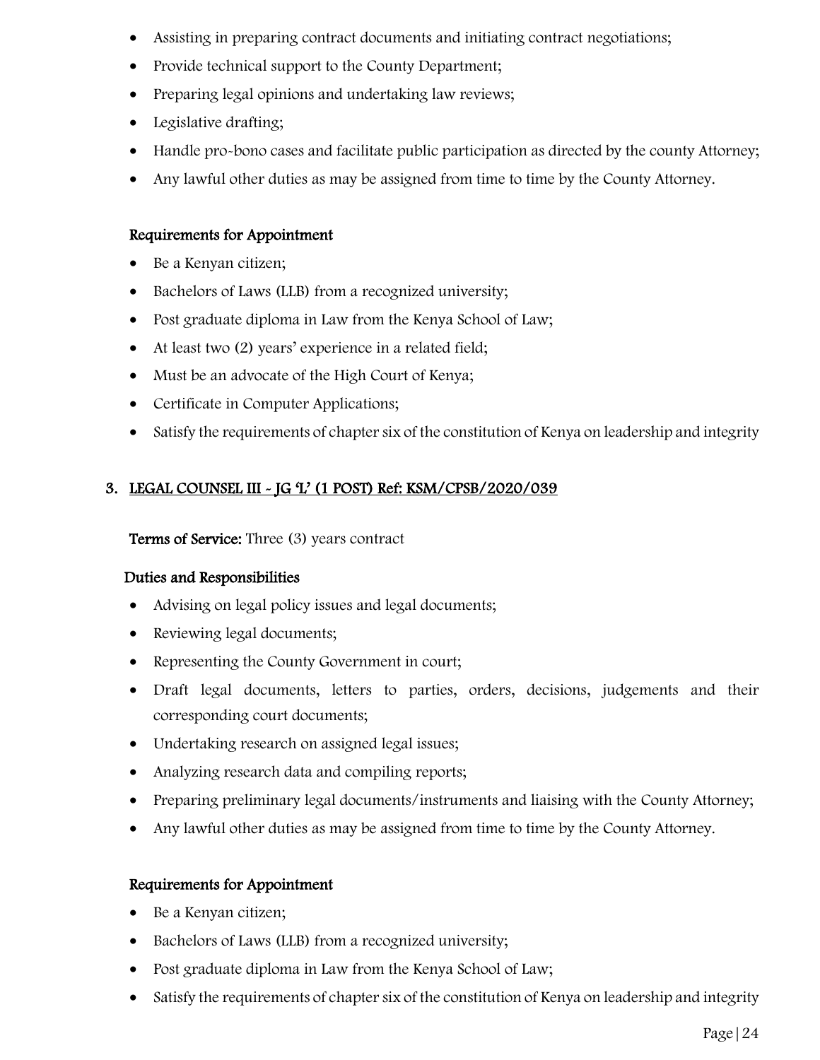- Assisting in preparing contract documents and initiating contract negotiations;
- Provide technical support to the County Department;
- Preparing legal opinions and undertaking law reviews;
- Legislative drafting;
- Handle pro-bono cases and facilitate public participation as directed by the county Attorney;
- Any lawful other duties as may be assigned from time to time by the County Attorney.

- Be a Kenyan citizen;
- Bachelors of Laws (LLB) from a recognized university;
- Post graduate diploma in Law from the Kenya School of Law;
- At least two (2) years' experience in a related field;
- Must be an advocate of the High Court of Kenya;
- Certificate in Computer Applications;
- Satisfy the requirements of chapter six of the constitution of Kenya on leadership and integrity

# 3. LEGAL COUNSEL III - JG 'L' (1 POST) Ref: KSM/CPSB/2020/039

Terms of Service: Three (3) years contract

### Duties and Responsibilities

- Advising on legal policy issues and legal documents;
- Reviewing legal documents;
- Representing the County Government in court;
- Draft legal documents, letters to parties, orders, decisions, judgements and their corresponding court documents;
- Undertaking research on assigned legal issues;
- Analyzing research data and compiling reports;
- Preparing preliminary legal documents/instruments and liaising with the County Attorney;
- Any lawful other duties as may be assigned from time to time by the County Attorney.

- Be a Kenyan citizen;
- Bachelors of Laws (LLB) from a recognized university;
- Post graduate diploma in Law from the Kenya School of Law;
- Satisfy the requirements of chapter six of the constitution of Kenya on leadership and integrity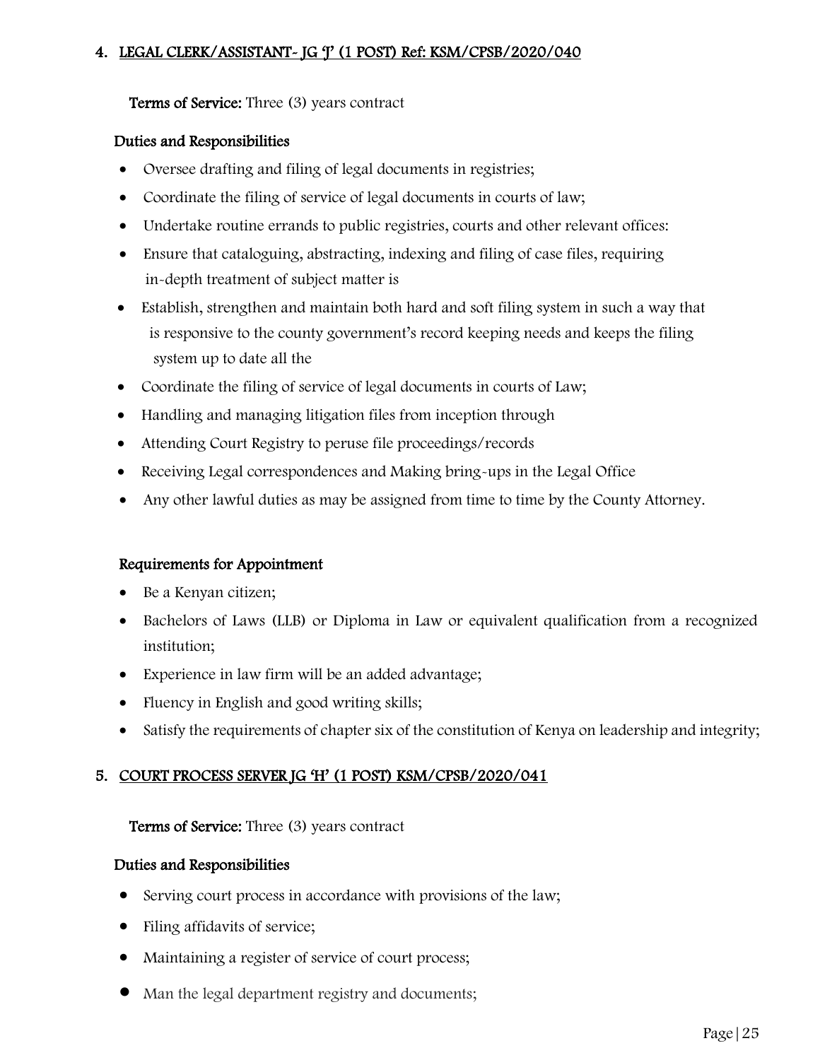## 4. LEGAL CLERK/ASSISTANT- JG 'J' (1 POST) Ref: KSM/CPSB/2020/040

#### Terms of Service: Three (3) years contract

#### Duties and Responsibilities

- Oversee drafting and filing of legal documents in registries;
- Coordinate the filing of service of legal documents in courts of law;
- Undertake routine errands to public registries, courts and other relevant offices:
- Ensure that cataloguing, abstracting, indexing and filing of case files, requiring in-depth treatment of subject matter is
- Establish, strengthen and maintain both hard and soft filing system in such a way that is responsive to the county government's record keeping needs and keeps the filing system up to date all the
- Coordinate the filing of service of legal documents in courts of Law;
- Handling and managing litigation files from inception through
- Attending Court Registry to peruse file proceedings/records
- Receiving Legal correspondences and Making bring-ups in the Legal Office
- Any other lawful duties as may be assigned from time to time by the County Attorney.

#### Requirements for Appointment

- Be a Kenyan citizen;
- Bachelors of Laws (LLB) or Diploma in Law or equivalent qualification from a recognized institution;
- Experience in law firm will be an added advantage;
- Fluency in English and good writing skills;
- Satisfy the requirements of chapter six of the constitution of Kenya on leadership and integrity;

### 5. COURT PROCESS SERVER JG 'H' (1 POST) KSM/CPSB/2020/041

#### Terms of Service: Three (3) years contract

- Serving court process in accordance with provisions of the law;
- Filing affidavits of service;
- Maintaining a register of service of court process;
- Man the legal department registry and documents;